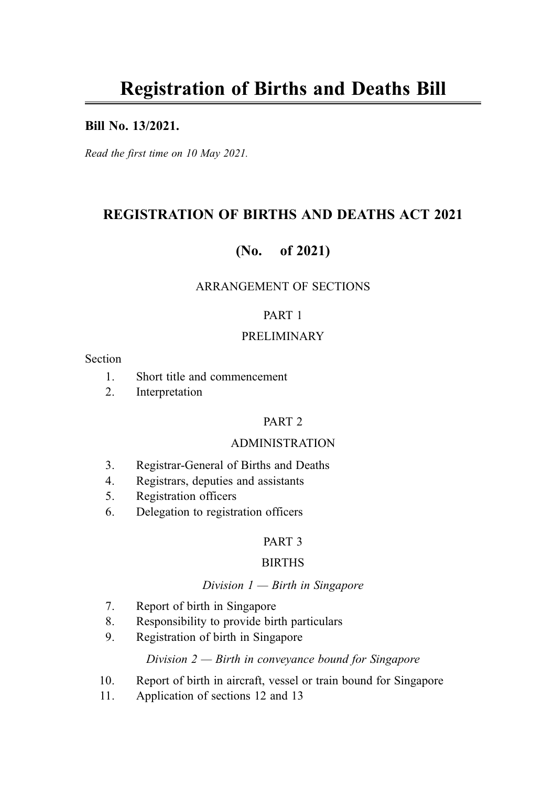### Bill No. 13/2021.

Read the first time on 10 May 2021.

# REGISTRATION OF BIRTHS AND DEATHS ACT 2021

# (No. of 2021)

### ARRANGEMENT OF SECTIONS

### PART 1

### PRELIMINARY

#### Section

- 1. Short title and commencement
- 2. Interpretation

### PART 2

#### ADMINISTRATION

- 3. Registrar-General of Births and Deaths
- 4. Registrars, deputies and assistants
- 5. Registration officers
- 6. Delegation to registration officers

### PART 3

#### BIRTHS

#### Division  $1$  – Birth in Singapore

- 7. Report of birth in Singapore
- 8. Responsibility to provide birth particulars
- 9. Registration of birth in Singapore

### Division  $2$  — Birth in conveyance bound for Singapore

- 10. Report of birth in aircraft, vessel or train bound for Singapore
- 11. Application of sections 12 and 13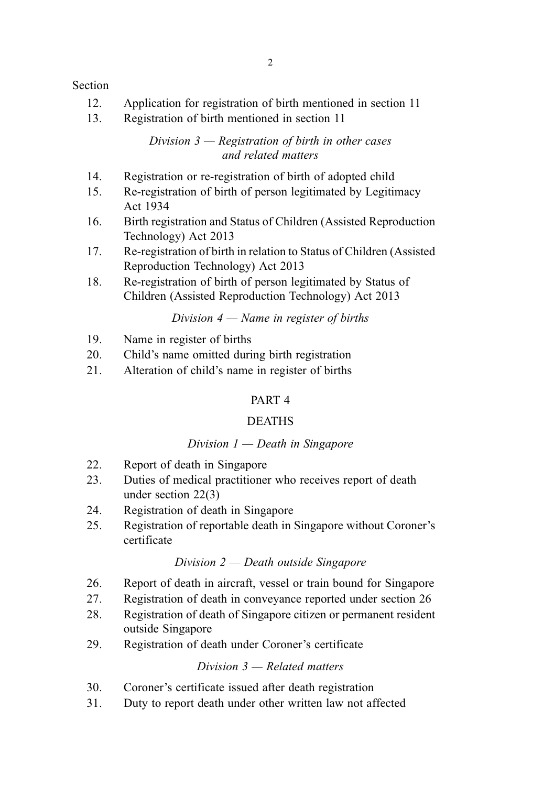### Section

- 12. Application for registration of birth mentioned in section 11
- 13. Registration of birth mentioned in section 11

Division  $3$  — Registration of birth in other cases and related matters

- 14. Registration or re-registration of birth of adopted child
- 15. Re-registration of birth of person legitimated by Legitimacy Act 1934
- 16. Birth registration and Status of Children (Assisted Reproduction Technology) Act 2013
- 17. Re-registration of birth in relation to Status of Children (Assisted Reproduction Technology) Act 2013
- 18. Re-registration of birth of person legitimated by Status of Children (Assisted Reproduction Technology) Act 2013

Division  $4 -$  Name in register of births

- 19. Name in register of births
- 20. Child's name omitted during birth registration
- 21. Alteration of child's name in register of births

### PART 4

#### DEATHS

#### Division  $1$  — Death in Singapore

- 22. Report of death in Singapore
- 23. Duties of medical practitioner who receives report of death under section 22(3)
- 24. Registration of death in Singapore
- 25. Registration of reportable death in Singapore without Coroner's certificate

#### Division 2 — Death outside Singapore

- 26. Report of death in aircraft, vessel or train bound for Singapore
- 27. Registration of death in conveyance reported under section 26
- 28. Registration of death of Singapore citizen or permanent resident outside Singapore
- 29. Registration of death under Coroner's certificate

#### Division 3 — Related matters

- 30. Coroner's certificate issued after death registration
- 31. Duty to report death under other written law not affected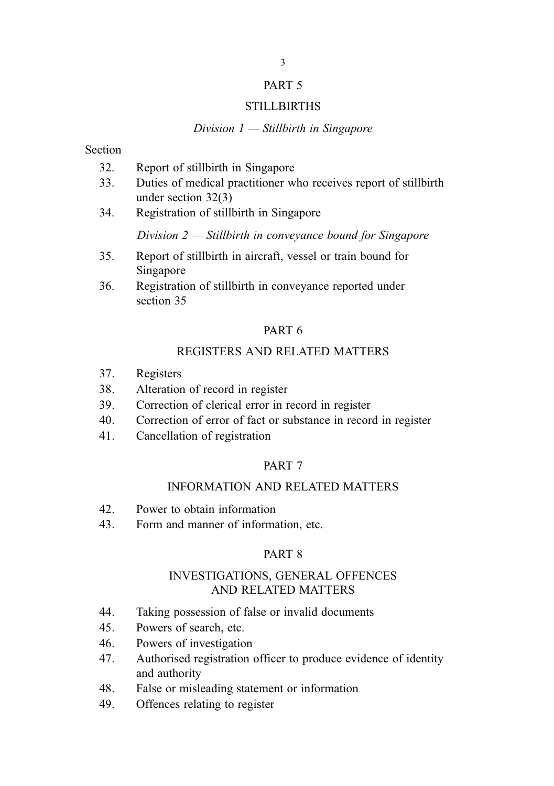#### PART 5

#### **STILLBIRTHS**

#### Division  $1 -$  Stillbirth in Singapore

#### Section

- 32. Report of stillbirth in Singapore
- 33. Duties of medical practitioner who receives report of stillbirth under section 32(3)
- 34. Registration of stillbirth in Singapore

Division  $2$  — Stillbirth in conveyance bound for Singapore

- 35. Report of stillbirth in aircraft, vessel or train bound for Singapore
- 36. Registration of stillbirth in conveyance reported under section 35

### PART 6

### REGISTERS AND RELATED MATTERS

- 37. Registers
- 38. Alteration of record in register
- 39. Correction of clerical error in record in register
- 40. Correction of error of fact or substance in record in register
- 41. Cancellation of registration

### PART 7

# INFORMATION AND RELATED MATTERS

- 42. Power to obtain information
- 43. Form and manner of information, etc.

#### PART 8

### INVESTIGATIONS, GENERAL OFFENCES AND RELATED MATTERS

- 44. Taking possession of false or invalid documents
- 45. Powers of search, etc.
- 46. Powers of investigation
- 47. Authorised registration officer to produce evidence of identity and authority
- 48. False or misleading statement or information
- 49. Offences relating to register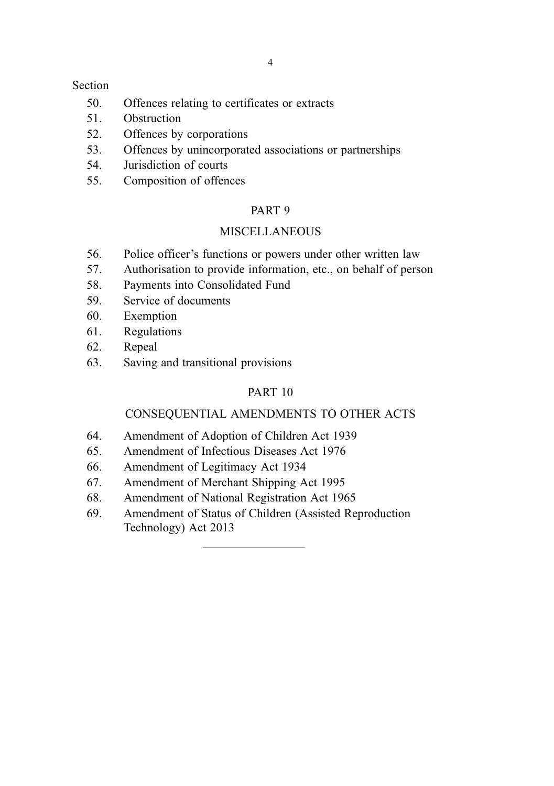#### Section

- 50. Offences relating to certificates or extracts
- 51. Obstruction
- 52. Offences by corporations
- 53. Offences by unincorporated associations or partnerships
- 54. Jurisdiction of courts
- 55. Composition of offences

### PART 9

## **MISCELLANEOUS**

- 56. Police officer's functions or powers under other written law
- 57. Authorisation to provide information, etc., on behalf of person
- 58. Payments into Consolidated Fund
- 59. Service of documents
- 60. Exemption
- 61. Regulations
- 62. Repeal
- 63. Saving and transitional provisions

# PART 10

### CONSEQUENTIAL AMENDMENTS TO OTHER ACTS

- 64. Amendment of Adoption of Children Act 1939
- 65. Amendment of Infectious Diseases Act 1976
- 66. Amendment of Legitimacy Act 1934
- 67. Amendment of Merchant Shipping Act 1995
- 68. Amendment of National Registration Act 1965
- 69. Amendment of Status of Children (Assisted Reproduction Technology) Act 2013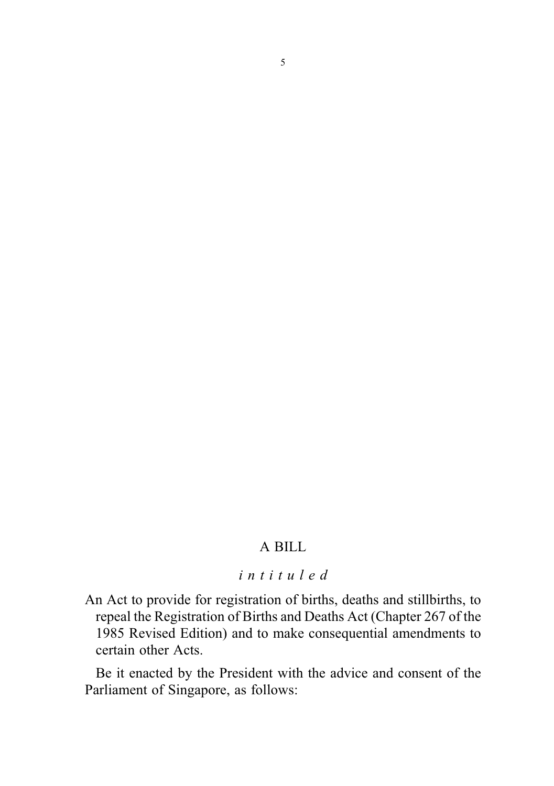# A BILL

## intituled

An Act to provide for registration of births, deaths and stillbirths, to repeal the Registration of Births and Deaths Act (Chapter 267 of the 1985 Revised Edition) and to make consequential amendments to certain other Acts.

Be it enacted by the President with the advice and consent of the Parliament of Singapore, as follows: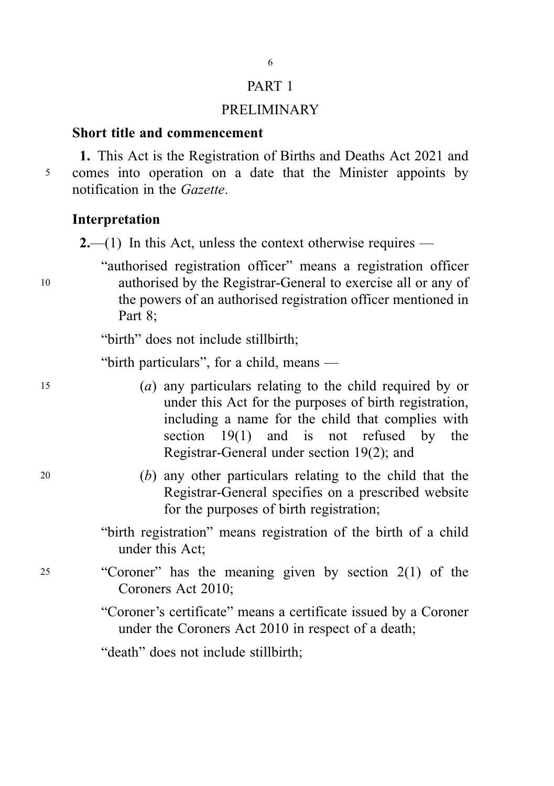# PART 1

6

## PRELIMINARY

## Short title and commencement

1. This Act is the Registration of Births and Deaths Act 2021 and <sup>5</sup> comes into operation on a date that the Minister appoints by notification in the Gazette.

### Interpretation

 $2$ —(1) In this Act, unless the context otherwise requires —

"authorised registration officer" means a registration officer <sup>10</sup> authorised by the Registrar-General to exercise all or any of the powers of an authorised registration officer mentioned in Part 8;

"birth" does not include stillbirth;

"birth particulars", for a child, means —

- <sup>15</sup> (a) any particulars relating to the child required by or under this Act for the purposes of birth registration, including a name for the child that complies with section 19(1) and is not refused by the Registrar-General under section 19(2); and
- <sup>20</sup> (b) any other particulars relating to the child that the Registrar-General specifies on a prescribed website for the purposes of birth registration;
	- "birth registration" means registration of the birth of a child under this Act;
- <sup>25</sup> "Coroner" has the meaning given by section 2(1) of the Coroners Act 2010;

"Coroner's certificate" means a certificate issued by a Coroner under the Coroners Act 2010 in respect of a death;

"death" does not include stillbirth;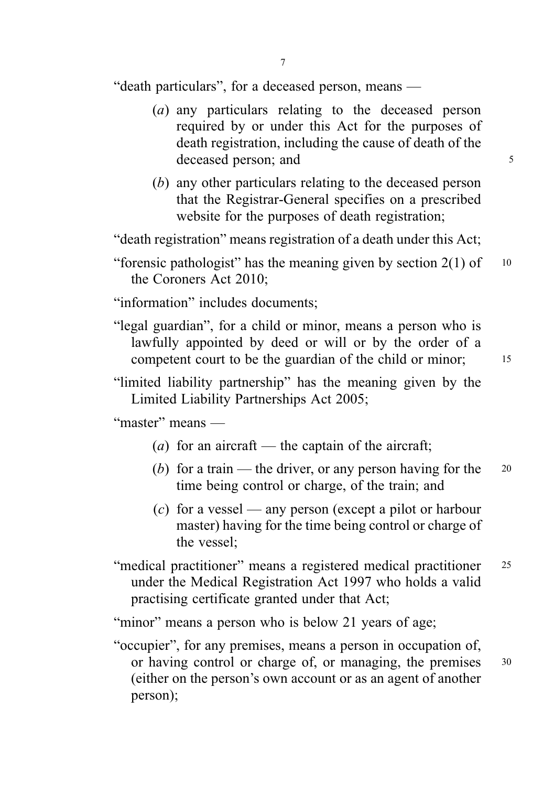"death particulars", for a deceased person, means —

- (a) any particulars relating to the deceased person required by or under this Act for the purposes of death registration, including the cause of death of the deceased person; and 5
- (b) any other particulars relating to the deceased person that the Registrar-General specifies on a prescribed website for the purposes of death registration;

"death registration" means registration of a death under this Act;

"information" includes documents;

"legal guardian", for a child or minor, means a person who is lawfully appointed by deed or will or by the order of a competent court to be the guardian of the child or minor; 15

"limited liability partnership" has the meaning given by the Limited Liability Partnerships Act 2005;

"master" means —

- (*a*) for an aircraft the captain of the aircraft;
- (b) for a train the driver, or any person having for the  $20$ time being control or charge, of the train; and
- (c) for a vessel any person (except a pilot or harbour master) having for the time being control or charge of the vessel;
- "medical practitioner" means a registered medical practitioner <sup>25</sup> under the Medical Registration Act 1997 who holds a valid practising certificate granted under that Act;

"minor" means a person who is below 21 years of age;

"occupier", for any premises, means a person in occupation of, or having control or charge of, or managing, the premises 30 (either on the person's own account or as an agent of another person);

<sup>&</sup>quot;forensic pathologist" has the meaning given by section  $2(1)$  of  $10$ the Coroners Act 2010;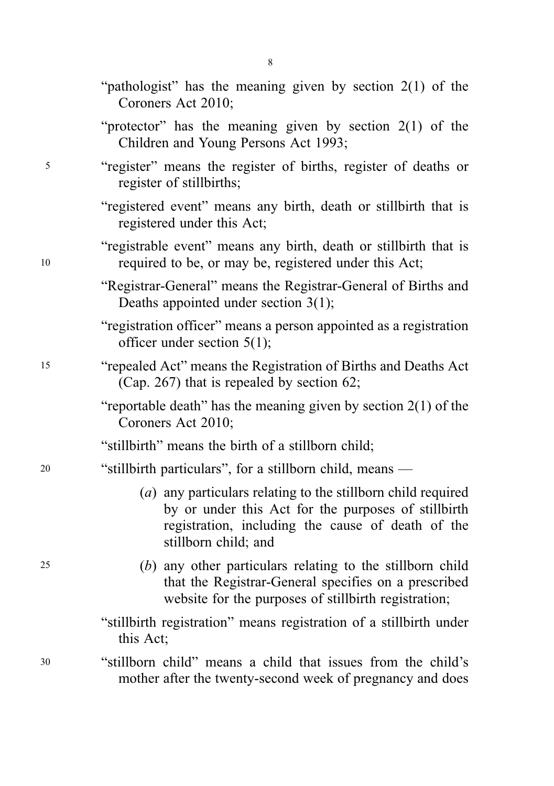|    | "pathologist" has the meaning given by section $2(1)$ of the<br>Coroners Act 2010;                                                                                                               |
|----|--------------------------------------------------------------------------------------------------------------------------------------------------------------------------------------------------|
|    | "protector" has the meaning given by section $2(1)$ of the<br>Children and Young Persons Act 1993;                                                                                               |
| 5  | "register" means the register of births, register of deaths or<br>register of stillbirths;                                                                                                       |
|    | "registered event" means any birth, death or stillbirth that is<br>registered under this Act;                                                                                                    |
| 10 | "registrable event" means any birth, death or stillbirth that is<br>required to be, or may be, registered under this Act;                                                                        |
|    | "Registrar-General" means the Registrar-General of Births and<br>Deaths appointed under section $3(1)$ ;                                                                                         |
|    | "registration officer" means a person appointed as a registration<br>officer under section $5(1)$ ;                                                                                              |
| 15 | "repealed Act" means the Registration of Births and Deaths Act<br>(Cap. 267) that is repealed by section 62;                                                                                     |
|    | "reportable death" has the meaning given by section $2(1)$ of the<br>Coroners Act 2010;                                                                                                          |
|    | "stillbirth" means the birth of a stillborn child;                                                                                                                                               |
| 20 | "stillbirth particulars", for a stillborn child, means —                                                                                                                                         |
|    | (a) any particulars relating to the stillborn child required<br>by or under this Act for the purposes of stillbirth<br>registration, including the cause of death of the<br>stillborn child; and |
| 25 | (b) any other particulars relating to the stillborn child<br>that the Registrar-General specifies on a prescribed<br>website for the purposes of stillbirth registration;                        |
|    | "stillbirth registration" means registration of a stillbirth under<br>this Act;                                                                                                                  |
| 30 | "stillborn child" means a child that issues from the child's<br>mother after the twenty-second week of pregnancy and does                                                                        |

8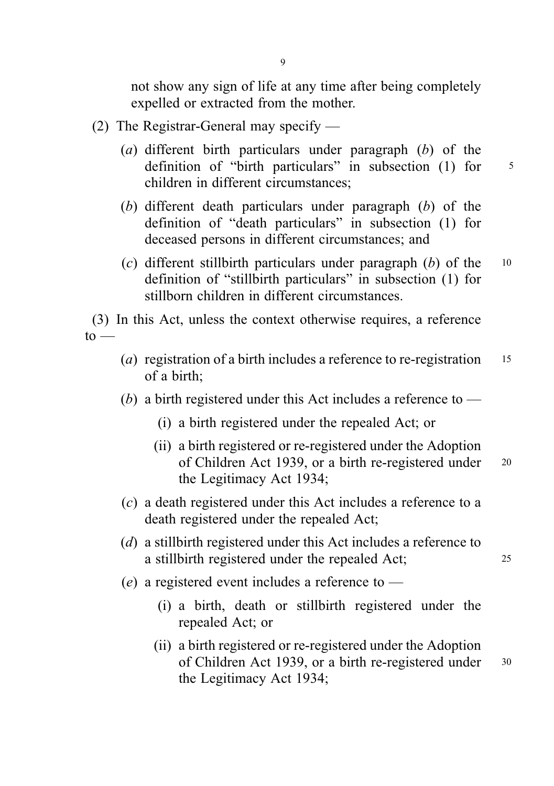not show any sign of life at any time after being completely expelled or extracted from the mother.

- (2) The Registrar-General may specify
	- (a) different birth particulars under paragraph  $(b)$  of the definition of "birth particulars" in subsection (1) for 5 children in different circumstances;
	- (b) different death particulars under paragraph (b) of the definition of "death particulars" in subsection (1) for deceased persons in different circumstances; and
	- (c) different stillbirth particulars under paragraph  $(b)$  of the 10 definition of "stillbirth particulars" in subsection (1) for stillborn children in different circumstances.

(3) In this Act, unless the context otherwise requires, a reference  $to -$ 

- (*a*) registration of a birth includes a reference to re-registration  $15$ of a birth;
- (b) a birth registered under this Act includes a reference to  $-$ 
	- (i) a birth registered under the repealed Act; or
	- (ii) a birth registered or re-registered under the Adoption of Children Act 1939, or a birth re-registered under 20 the Legitimacy Act 1934;
- (c) a death registered under this Act includes a reference to a death registered under the repealed Act;
- (d) a stillbirth registered under this Act includes a reference to a stillbirth registered under the repealed Act; <sup>25</sup>
- (e) a registered event includes a reference to  $-$ 
	- (i) a birth, death or stillbirth registered under the repealed Act; or
	- (ii) a birth registered or re-registered under the Adoption of Children Act 1939, or a birth re-registered under 30 the Legitimacy Act 1934;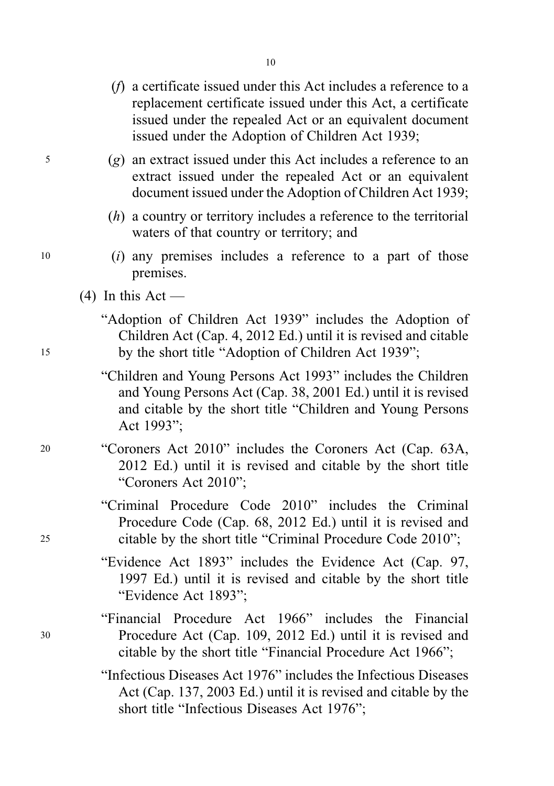- (f) a certificate issued under this Act includes a reference to a replacement certificate issued under this Act, a certificate issued under the repealed Act or an equivalent document issued under the Adoption of Children Act 1939;
- <sup>5</sup> (g) an extract issued under this Act includes a reference to an extract issued under the repealed Act or an equivalent document issued under the Adoption of Children Act 1939;
	- (h) a country or territory includes a reference to the territorial waters of that country or territory; and
- <sup>10</sup> (i) any premises includes a reference to a part of those premises.
	- $(4)$  In this Act —
- "Adoption of Children Act 1939" includes the Adoption of Children Act (Cap. 4, 2012 Ed.) until it is revised and citable <sup>15</sup> by the short title "Adoption of Children Act 1939";
	- "Children and Young Persons Act 1993" includes the Children and Young Persons Act (Cap. 38, 2001 Ed.) until it is revised and citable by the short title "Children and Young Persons Act 1993";
- <sup>20</sup> "Coroners Act 2010" includes the Coroners Act (Cap. 63A, 2012 Ed.) until it is revised and citable by the short title "Coroners Act 2010";
- "Criminal Procedure Code 2010" includes the Criminal Procedure Code (Cap. 68, 2012 Ed.) until it is revised and <sup>25</sup> citable by the short title "Criminal Procedure Code 2010";
	- "Evidence Act 1893" includes the Evidence Act (Cap. 97, 1997 Ed.) until it is revised and citable by the short title "Evidence Act 1893";
- "Financial Procedure Act 1966" includes the Financial <sup>30</sup> Procedure Act (Cap. 109, 2012 Ed.) until it is revised and citable by the short title "Financial Procedure Act 1966";
	- "Infectious Diseases Act 1976" includes the Infectious Diseases Act (Cap. 137, 2003 Ed.) until it is revised and citable by the short title "Infectious Diseases Act 1976";

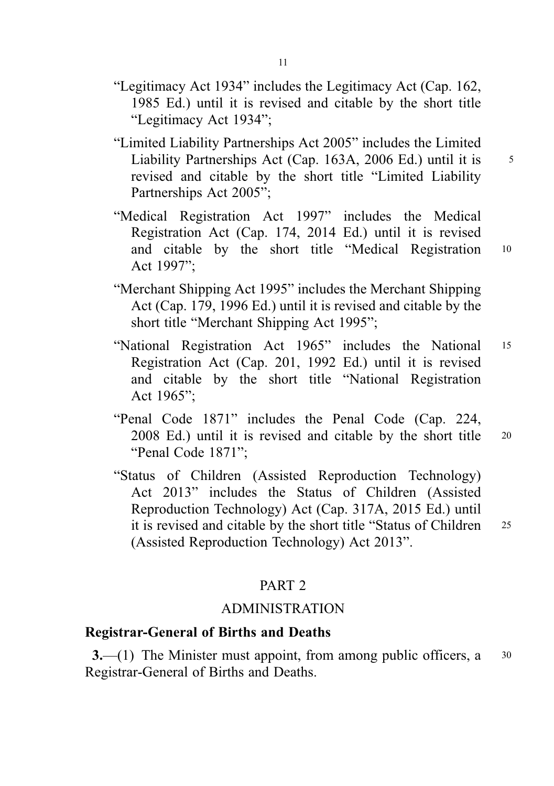- "Legitimacy Act 1934" includes the Legitimacy Act (Cap. 162, 1985 Ed.) until it is revised and citable by the short title "Legitimacy Act 1934";
- "Limited Liability Partnerships Act 2005" includes the Limited Liability Partnerships Act (Cap. 163A, 2006 Ed.) until it is 5 revised and citable by the short title "Limited Liability Partnerships Act 2005";
- "Medical Registration Act 1997" includes the Medical Registration Act (Cap. 174, 2014 Ed.) until it is revised and citable by the short title "Medical Registration <sup>10</sup> Act 1997";
- "Merchant Shipping Act 1995" includes the Merchant Shipping Act (Cap. 179, 1996 Ed.) until it is revised and citable by the short title "Merchant Shipping Act 1995";
- "National Registration Act 1965" includes the National <sup>15</sup> Registration Act (Cap. 201, 1992 Ed.) until it is revised and citable by the short title "National Registration Act 1965";
- "Penal Code 1871" includes the Penal Code (Cap. 224, 2008 Ed.) until it is revised and citable by the short title <sup>20</sup> "Penal Code 1871";
- "Status of Children (Assisted Reproduction Technology) Act 2013" includes the Status of Children (Assisted Reproduction Technology) Act (Cap. 317A, 2015 Ed.) until it is revised and citable by the short title "Status of Children <sup>25</sup> (Assisted Reproduction Technology) Act 2013".

## PART 2

# ADMINISTRATION

### Registrar-General of Births and Deaths

**3.**—(1) The Minister must appoint, from among public officers,  $a = 30$ Registrar-General of Births and Deaths.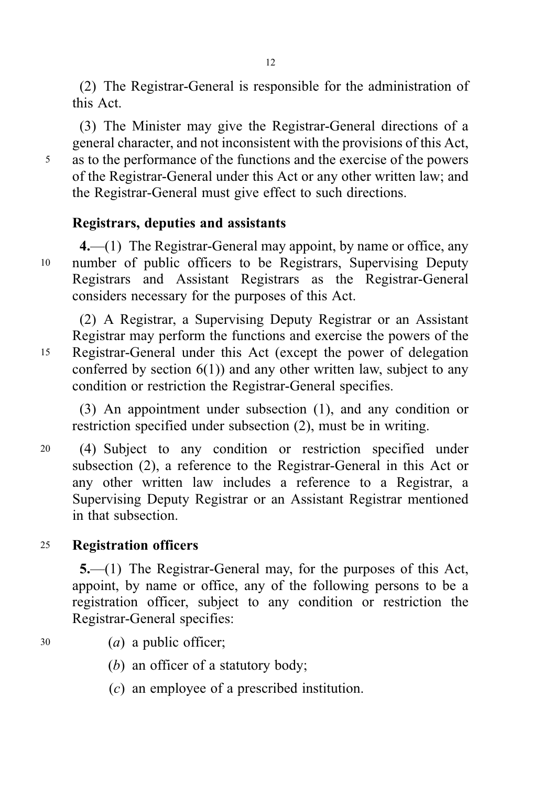(2) The Registrar-General is responsible for the administration of this Act.

(3) The Minister may give the Registrar-General directions of a general character, and not inconsistent with the provisions of this Act, <sup>5</sup> as to the performance of the functions and the exercise of the powers of the Registrar-General under this Act or any other written law; and the Registrar-General must give effect to such directions.

# Registrars, deputies and assistants

4.—(1) The Registrar-General may appoint, by name or office, any <sup>10</sup> number of public officers to be Registrars, Supervising Deputy Registrars and Assistant Registrars as the Registrar-General considers necessary for the purposes of this Act.

(2) A Registrar, a Supervising Deputy Registrar or an Assistant Registrar may perform the functions and exercise the powers of the <sup>15</sup> Registrar-General under this Act (except the power of delegation conferred by section  $6(1)$ ) and any other written law, subject to any condition or restriction the Registrar-General specifies.

(3) An appointment under subsection (1), and any condition or restriction specified under subsection (2), must be in writing.

<sup>20</sup> (4) Subject to any condition or restriction specified under subsection (2), a reference to the Registrar-General in this Act or any other written law includes a reference to a Registrar, a Supervising Deputy Registrar or an Assistant Registrar mentioned in that subsection.

# <sup>25</sup> Registration officers

5.—(1) The Registrar-General may, for the purposes of this Act, appoint, by name or office, any of the following persons to be a registration officer, subject to any condition or restriction the Registrar-General specifies:

- <sup>30</sup> (a) a public officer;
	- (b) an officer of a statutory body;
	- (c) an employee of a prescribed institution.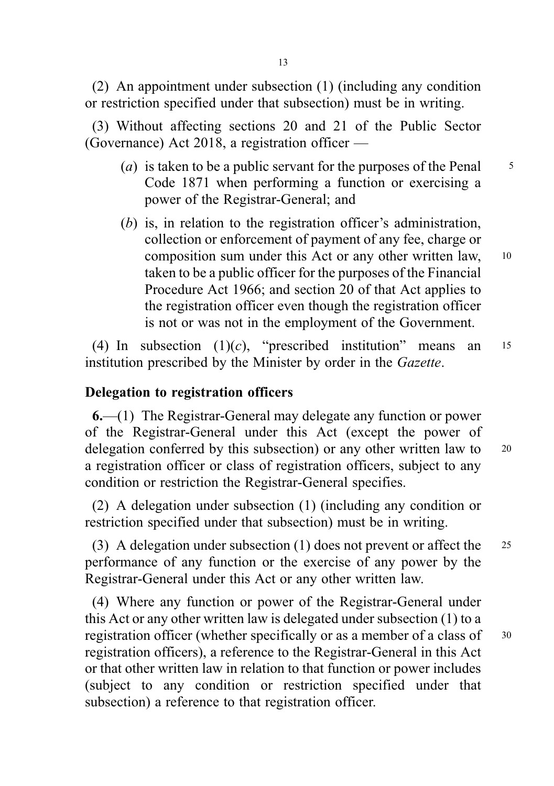(2) An appointment under subsection (1) (including any condition or restriction specified under that subsection) must be in writing.

(3) Without affecting sections 20 and 21 of the Public Sector (Governance) Act 2018, a registration officer —

- (*a*) is taken to be a public servant for the purposes of the Penal  $\frac{5}{5}$ Code 1871 when performing a function or exercising a power of the Registrar-General; and
- (b) is, in relation to the registration officer's administration, collection or enforcement of payment of any fee, charge or composition sum under this Act or any other written law, <sup>10</sup> taken to be a public officer for the purposes of the Financial Procedure Act 1966; and section 20 of that Act applies to the registration officer even though the registration officer is not or was not in the employment of the Government.

(4) In subsection  $(1)(c)$ , "prescribed institution" means an  $15$ institution prescribed by the Minister by order in the Gazette.

# Delegation to registration officers

6.—(1) The Registrar-General may delegate any function or power of the Registrar-General under this Act (except the power of delegation conferred by this subsection) or any other written law to <sup>20</sup> a registration officer or class of registration officers, subject to any condition or restriction the Registrar-General specifies.

(2) A delegation under subsection (1) (including any condition or restriction specified under that subsection) must be in writing.

(3) A delegation under subsection (1) does not prevent or affect the <sup>25</sup> performance of any function or the exercise of any power by the Registrar-General under this Act or any other written law.

(4) Where any function or power of the Registrar-General under this Act or any other written law is delegated under subsection (1) to a registration officer (whether specifically or as a member of a class of 30 registration officers), a reference to the Registrar-General in this Act or that other written law in relation to that function or power includes (subject to any condition or restriction specified under that subsection) a reference to that registration officer.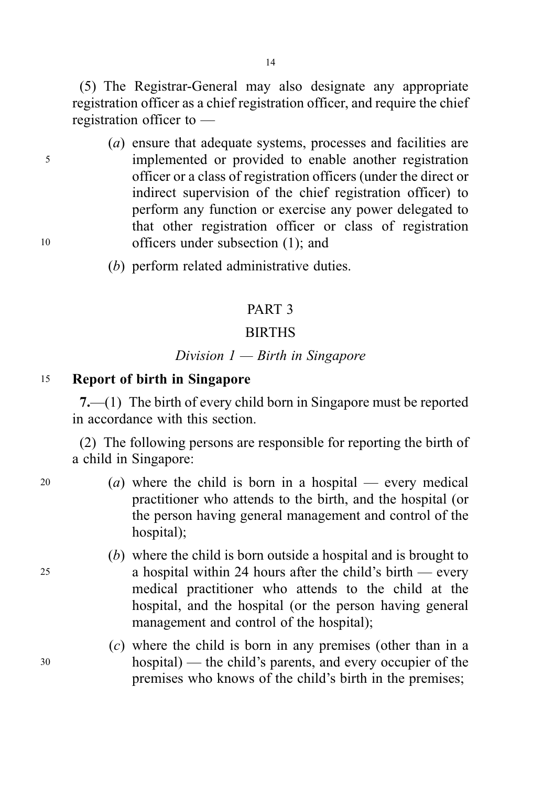(5) The Registrar-General may also designate any appropriate registration officer as a chief registration officer, and require the chief registration officer to —

- (a) ensure that adequate systems, processes and facilities are <sup>5</sup> implemented or provided to enable another registration officer or a class of registration officers (under the direct or indirect supervision of the chief registration officer) to perform any function or exercise any power delegated to that other registration officer or class of registration <sup>10</sup> officers under subsection (1); and
	- (b) perform related administrative duties.

# PART 3

# **BIRTHS**

# Division  $1$  – Birth in Singapore

### <sup>15</sup> Report of birth in Singapore

7.—(1) The birth of every child born in Singapore must be reported in accordance with this section.

(2) The following persons are responsible for reporting the birth of a child in Singapore:

- 
- 20 (a) where the child is born in a hospital every medical practitioner who attends to the birth, and the hospital (or the person having general management and control of the hospital);
- (b) where the child is born outside a hospital and is brought to <sup>25</sup> a hospital within 24 hours after the child's birth — every medical practitioner who attends to the child at the hospital, and the hospital (or the person having general management and control of the hospital);
- (c) where the child is born in any premises (other than in a <sup>30</sup> hospital) — the child's parents, and every occupier of the premises who knows of the child's birth in the premises;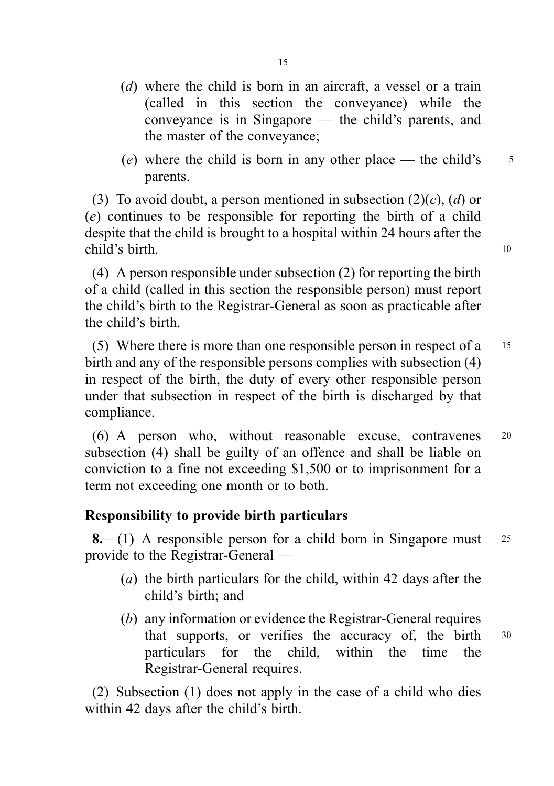(e) where the child is born in any other place — the child's  $\frac{5}{5}$ parents.

(3) To avoid doubt, a person mentioned in subsection  $(2)(c)$ ,  $(d)$  or (e) continues to be responsible for reporting the birth of a child despite that the child is brought to a hospital within 24 hours after the child's birth. 10

(4) A person responsible under subsection (2) for reporting the birth of a child (called in this section the responsible person) must report the child's birth to the Registrar-General as soon as practicable after the child's birth.

(5) Where there is more than one responsible person in respect of a <sup>15</sup> birth and any of the responsible persons complies with subsection (4) in respect of the birth, the duty of every other responsible person under that subsection in respect of the birth is discharged by that compliance.

(6) A person who, without reasonable excuse, contravenes <sup>20</sup> subsection (4) shall be guilty of an offence and shall be liable on conviction to a fine not exceeding \$1,500 or to imprisonment for a term not exceeding one month or to both.

# Responsibility to provide birth particulars

**8.**—(1) A responsible person for a child born in Singapore must  $25$ provide to the Registrar-General —

- (a) the birth particulars for the child, within 42 days after the child's birth; and
- (b) any information or evidence the Registrar-General requires that supports, or verifies the accuracy of, the birth <sup>30</sup> particulars for the child, within the time the Registrar-General requires.

(2) Subsection (1) does not apply in the case of a child who dies within 42 days after the child's birth.

the master of the conveyance;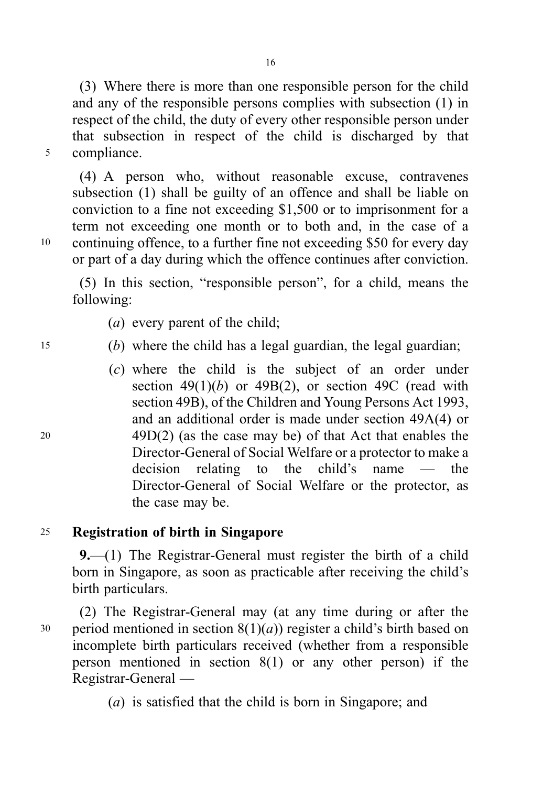(3) Where there is more than one responsible person for the child and any of the responsible persons complies with subsection (1) in respect of the child, the duty of every other responsible person under that subsection in respect of the child is discharged by that <sup>5</sup> compliance.

(4) A person who, without reasonable excuse, contravenes subsection (1) shall be guilty of an offence and shall be liable on conviction to a fine not exceeding \$1,500 or to imprisonment for a term not exceeding one month or to both and, in the case of a <sup>10</sup> continuing offence, to a further fine not exceeding \$50 for every day or part of a day during which the offence continues after conviction.

(5) In this section, "responsible person", for a child, means the following:

- (a) every parent of the child;
- <sup>15</sup> (b) where the child has a legal guardian, the legal guardian;
- (c) where the child is the subject of an order under section  $49(1)(b)$  or  $49B(2)$ , or section  $49C$  (read with section 49B), of the Children and Young Persons Act 1993, and an additional order is made under section 49A(4) or <sup>20</sup> 49D(2) (as the case may be) of that Act that enables the Director-General of Social Welfare or a protector to make a decision relating to the child's name — the Director-General of Social Welfare or the protector, as the case may be.

# <sup>25</sup> Registration of birth in Singapore

9.—(1) The Registrar-General must register the birth of a child born in Singapore, as soon as practicable after receiving the child's birth particulars.

(2) The Registrar-General may (at any time during or after the 30 period mentioned in section  $8(1)(a)$  register a child's birth based on incomplete birth particulars received (whether from a responsible person mentioned in section 8(1) or any other person) if the Registrar-General —

(a) is satisfied that the child is born in Singapore; and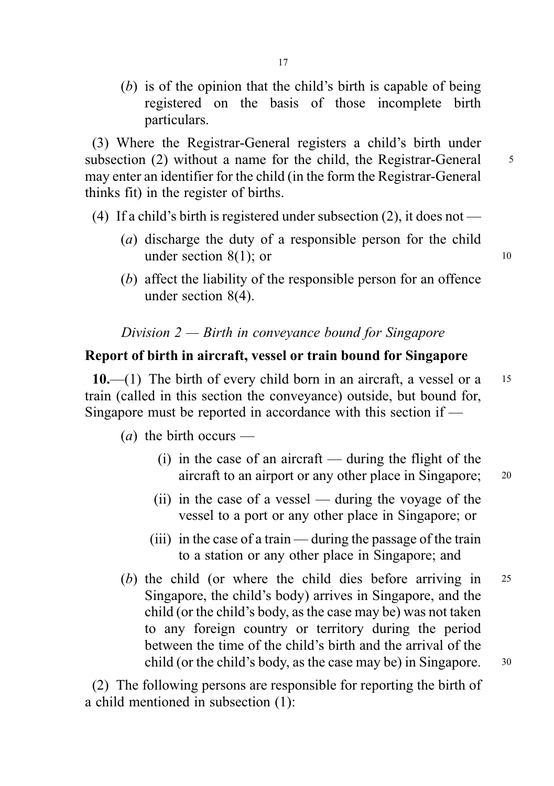(b) is of the opinion that the child's birth is capable of being registered on the basis of those incomplete birth particulars.

(3) Where the Registrar-General registers a child's birth under subsection (2) without a name for the child, the Registrar-General 5 may enter an identifier for the child (in the form the Registrar-General thinks fit) in the register of births.

- (4) If a child's birth is registered under subsection  $(2)$ , it does not
	- (a) discharge the duty of a responsible person for the child under section  $8(1)$ ; or 10
	- (b) affect the liability of the responsible person for an offence under section 8(4).

# Division  $2$  — Birth in conveyance bound for Singapore

# Report of birth in aircraft, vessel or train bound for Singapore

10.—(1) The birth of every child born in an aircraft, a vessel or a  $15$ train (called in this section the conveyance) outside, but bound for, Singapore must be reported in accordance with this section if —

(*a*) the birth occurs —

- $(i)$  in the case of an aircraft during the flight of the aircraft to an airport or any other place in Singapore; <sup>20</sup>
- (ii) in the case of a vessel during the voyage of the vessel to a port or any other place in Singapore; or
- (iii) in the case of a train during the passage of the train to a station or any other place in Singapore; and
- (b) the child (or where the child dies before arriving in <sup>25</sup> Singapore, the child's body) arrives in Singapore, and the child (or the child's body, as the case may be) was not taken to any foreign country or territory during the period between the time of the child's birth and the arrival of the child (or the child's body, as the case may be) in Singapore. 30

(2) The following persons are responsible for reporting the birth of a child mentioned in subsection (1):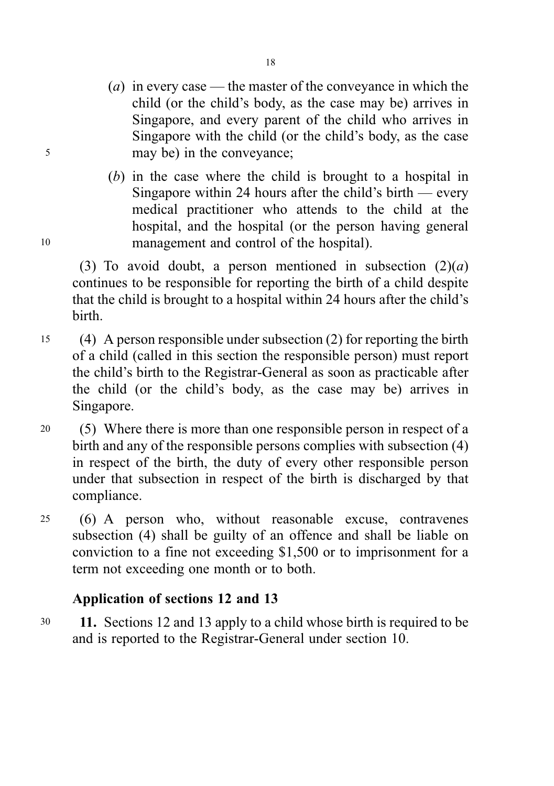- (*a*) in every case the master of the conveyance in which the child (or the child's body, as the case may be) arrives in Singapore, and every parent of the child who arrives in Singapore with the child (or the child's body, as the case <sup>5</sup> may be) in the conveyance;
- (b) in the case where the child is brought to a hospital in Singapore within 24 hours after the child's birth — every medical practitioner who attends to the child at the hospital, and the hospital (or the person having general <sup>10</sup> management and control of the hospital).

(3) To avoid doubt, a person mentioned in subsection  $(2)(a)$ continues to be responsible for reporting the birth of a child despite that the child is brought to a hospital within 24 hours after the child's birth.

- <sup>15</sup> (4) A person responsible under subsection (2) for reporting the birth of a child (called in this section the responsible person) must report the child's birth to the Registrar-General as soon as practicable after the child (or the child's body, as the case may be) arrives in Singapore.
- <sup>20</sup> (5) Where there is more than one responsible person in respect of a birth and any of the responsible persons complies with subsection (4) in respect of the birth, the duty of every other responsible person under that subsection in respect of the birth is discharged by that compliance.
- <sup>25</sup> (6) A person who, without reasonable excuse, contravenes subsection (4) shall be guilty of an offence and shall be liable on conviction to a fine not exceeding \$1,500 or to imprisonment for a term not exceeding one month or to both.

# Application of sections 12 and 13

<sup>30</sup> 11. Sections 12 and 13 apply to a child whose birth is required to be and is reported to the Registrar-General under section 10.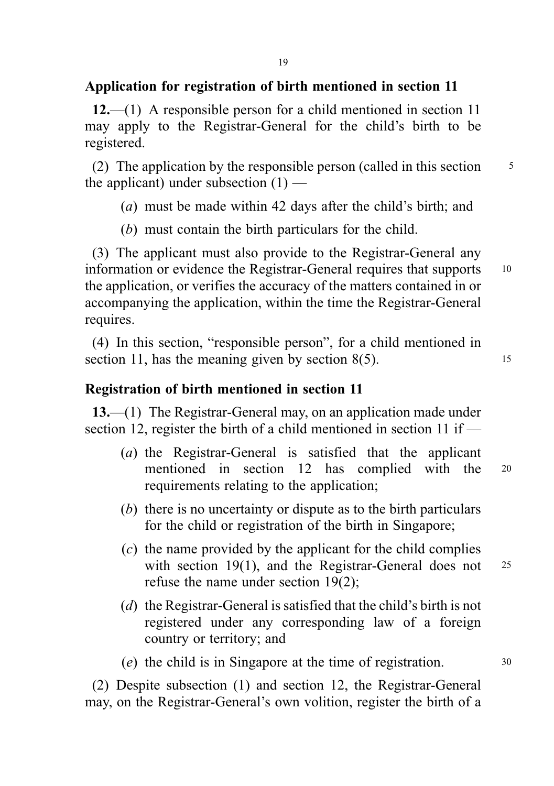# Application for registration of birth mentioned in section 11

12.—(1) A responsible person for a child mentioned in section 11 may apply to the Registrar-General for the child's birth to be registered.

(2) The application by the responsible person (called in this section  $\frac{5}{5}$ the applicant) under subsection  $(1)$  —

- (a) must be made within 42 days after the child's birth; and
- (b) must contain the birth particulars for the child.

(3) The applicant must also provide to the Registrar-General any information or evidence the Registrar-General requires that supports <sup>10</sup> the application, or verifies the accuracy of the matters contained in or accompanying the application, within the time the Registrar-General requires.

(4) In this section, "responsible person", for a child mentioned in section 11, has the meaning given by section  $8(5)$ . 15

## Registration of birth mentioned in section 11

13.—(1) The Registrar-General may, on an application made under section 12, register the birth of a child mentioned in section 11 if —

- (a) the Registrar-General is satisfied that the applicant mentioned in section 12 has complied with the <sup>20</sup> requirements relating to the application;
- (b) there is no uncertainty or dispute as to the birth particulars for the child or registration of the birth in Singapore;
- (c) the name provided by the applicant for the child complies with section 19(1), and the Registrar-General does not 25 refuse the name under section 19(2);
- (d) the Registrar-General is satisfied that the child's birth is not registered under any corresponding law of a foreign country or territory; and

(e) the child is in Singapore at the time of registration. <sup>30</sup>

(2) Despite subsection (1) and section 12, the Registrar-General may, on the Registrar-General's own volition, register the birth of a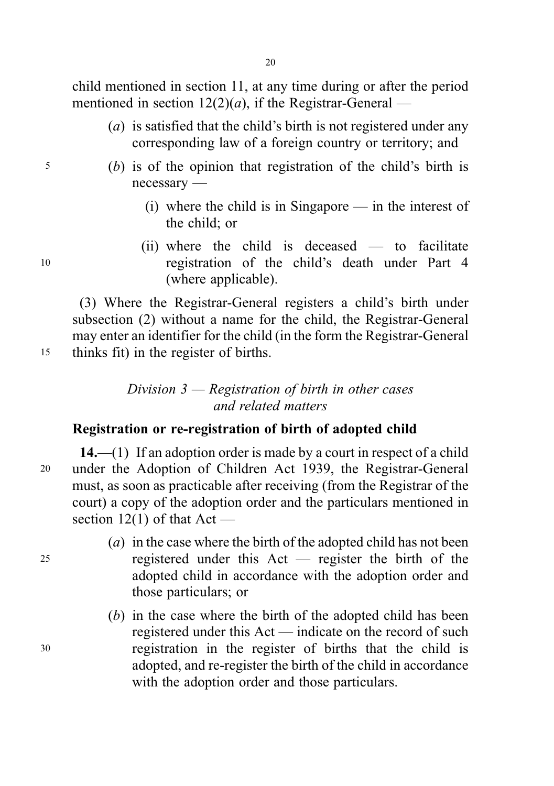child mentioned in section 11, at any time during or after the period mentioned in section  $12(2)(a)$ , if the Registrar-General —

- (a) is satisfied that the child's birth is not registered under any corresponding law of a foreign country or territory; and
- <sup>5</sup> (b) is of the opinion that registration of the child's birth is necessary —
	- (i) where the child is in Singapore in the interest of the child; or
- (ii) where the child is deceased to facilitate <sup>10</sup> registration of the child's death under Part 4 (where applicable).

(3) Where the Registrar-General registers a child's birth under subsection (2) without a name for the child, the Registrar-General may enter an identifier for the child (in the form the Registrar-General <sup>15</sup> thinks fit) in the register of births.

# Division  $3$  — Registration of birth in other cases and related matters

# Registration or re-registration of birth of adopted child

14.—(1) If an adoption order is made by a court in respect of a child <sup>20</sup> under the Adoption of Children Act 1939, the Registrar-General must, as soon as practicable after receiving (from the Registrar of the court) a copy of the adoption order and the particulars mentioned in section  $12(1)$  of that Act —

- (a) in the case where the birth of the adopted child has not been <sup>25</sup> registered under this Act — register the birth of the adopted child in accordance with the adoption order and those particulars; or
- (b) in the case where the birth of the adopted child has been registered under this Act — indicate on the record of such <sup>30</sup> registration in the register of births that the child is adopted, and re-register the birth of the child in accordance with the adoption order and those particulars.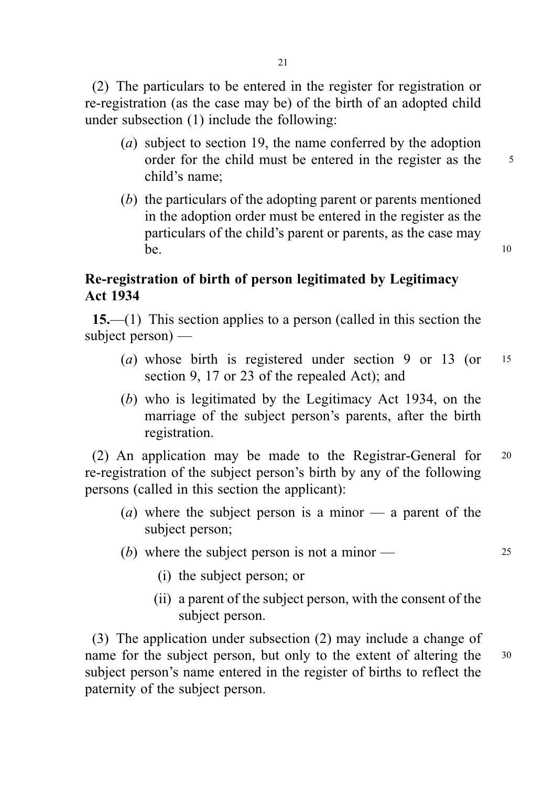(2) The particulars to be entered in the register for registration or re-registration (as the case may be) of the birth of an adopted child under subsection (1) include the following:

- (a) subject to section 19, the name conferred by the adoption order for the child must be entered in the register as the 5 child's name;
- (b) the particulars of the adopting parent or parents mentioned in the adoption order must be entered in the register as the particulars of the child's parent or parents, as the case may  $be.$  10

# Re-registration of birth of person legitimated by Legitimacy Act 1934

15.—(1) This section applies to a person (called in this section the subject person) —

- (a) whose birth is registered under section 9 or 13 (or 15) section 9, 17 or 23 of the repealed Act); and
- (b) who is legitimated by the Legitimacy Act 1934, on the marriage of the subject person's parents, after the birth registration.

(2) An application may be made to the Registrar-General for <sup>20</sup> re-registration of the subject person's birth by any of the following persons (called in this section the applicant):

- (a) where the subject person is a minor  $-$  a parent of the subject person;
- (b) where the subject person is not a minor  $-$  25
	- (i) the subject person; or
	- (ii) a parent of the subject person, with the consent of the subject person.

(3) The application under subsection (2) may include a change of name for the subject person, but only to the extent of altering the 30 subject person's name entered in the register of births to reflect the paternity of the subject person.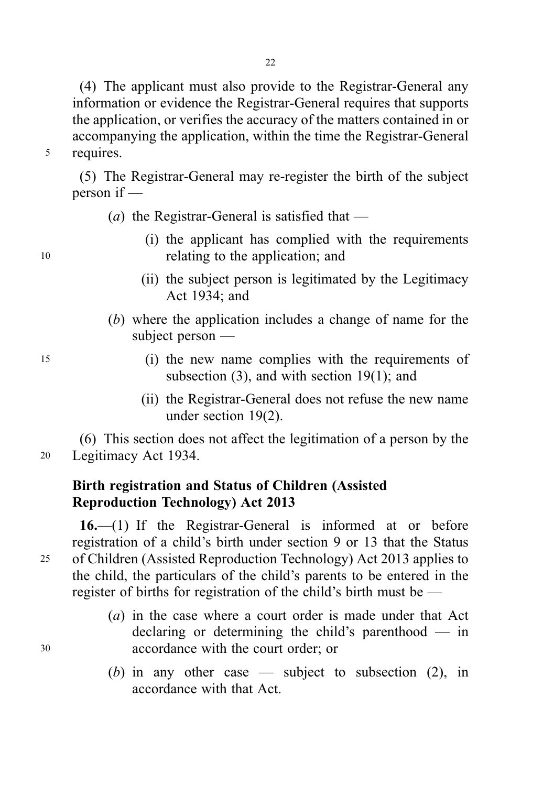(4) The applicant must also provide to the Registrar-General any information or evidence the Registrar-General requires that supports the application, or verifies the accuracy of the matters contained in or accompanying the application, within the time the Registrar-General <sup>5</sup> requires.

(5) The Registrar-General may re-register the birth of the subject person if —

- (a) the Registrar-General is satisfied that  $-$
- (i) the applicant has complied with the requirements <sup>10</sup> relating to the application; and
	- (ii) the subject person is legitimated by the Legitimacy Act 1934; and
	- (b) where the application includes a change of name for the subject person —
- <sup>15</sup> (i) the new name complies with the requirements of subsection (3), and with section 19(1); and
	- (ii) the Registrar-General does not refuse the new name under section 19(2).

(6) This section does not affect the legitimation of a person by the <sup>20</sup> Legitimacy Act 1934.

# Birth registration and Status of Children (Assisted Reproduction Technology) Act 2013

16.—(1) If the Registrar-General is informed at or before registration of a child's birth under section 9 or 13 that the Status <sup>25</sup> of Children (Assisted Reproduction Technology) Act 2013 applies to the child, the particulars of the child's parents to be entered in the register of births for registration of the child's birth must be —

- (a) in the case where a court order is made under that Act declaring or determining the child's parenthood — in <sup>30</sup> accordance with the court order; or
	- (b) in any other case subject to subsection  $(2)$ , in accordance with that Act.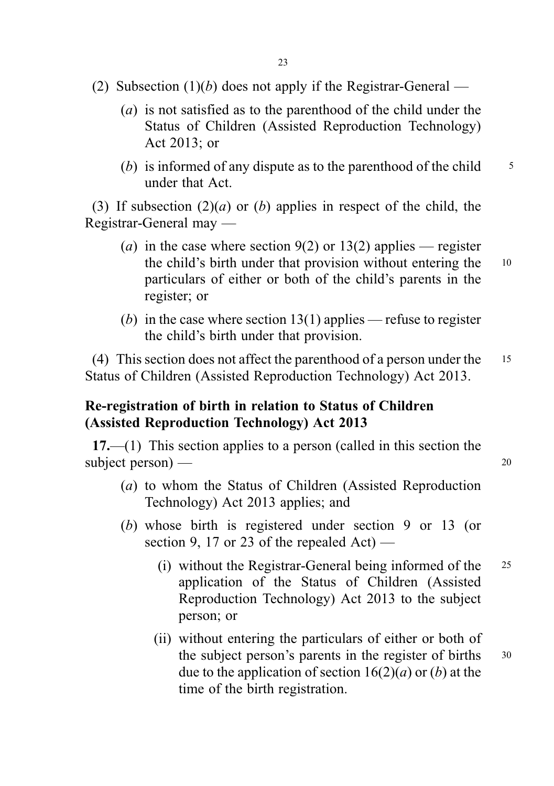- (2) Subsection  $(1)(b)$  does not apply if the Registrar-General
	- (a) is not satisfied as to the parenthood of the child under the Status of Children (Assisted Reproduction Technology) Act 2013; or
	- (b) is informed of any dispute as to the parenthood of the child  $\frac{5}{5}$ under that Act.

(3) If subsection  $(2)(a)$  or (b) applies in respect of the child, the Registrar-General may —

- (a) in the case where section 9(2) or 13(2) applies register the child's birth under that provision without entering the 10 particulars of either or both of the child's parents in the register; or
- (b) in the case where section 13(1) applies refuse to register the child's birth under that provision.

(4) This section does not affect the parenthood of a person under the <sup>15</sup> Status of Children (Assisted Reproduction Technology) Act 2013.

# Re-registration of birth in relation to Status of Children (Assisted Reproduction Technology) Act 2013

17.—(1) This section applies to a person (called in this section the subject person) — 20

- 
- (a) to whom the Status of Children (Assisted Reproduction Technology) Act 2013 applies; and
- (b) whose birth is registered under section 9 or 13 (or section 9, 17 or 23 of the repealed  $Act$ ) —
	- (i) without the Registrar-General being informed of the <sup>25</sup> application of the Status of Children (Assisted Reproduction Technology) Act 2013 to the subject person; or
	- (ii) without entering the particulars of either or both of the subject person's parents in the register of births  $30$ due to the application of section  $16(2)(a)$  or (b) at the time of the birth registration.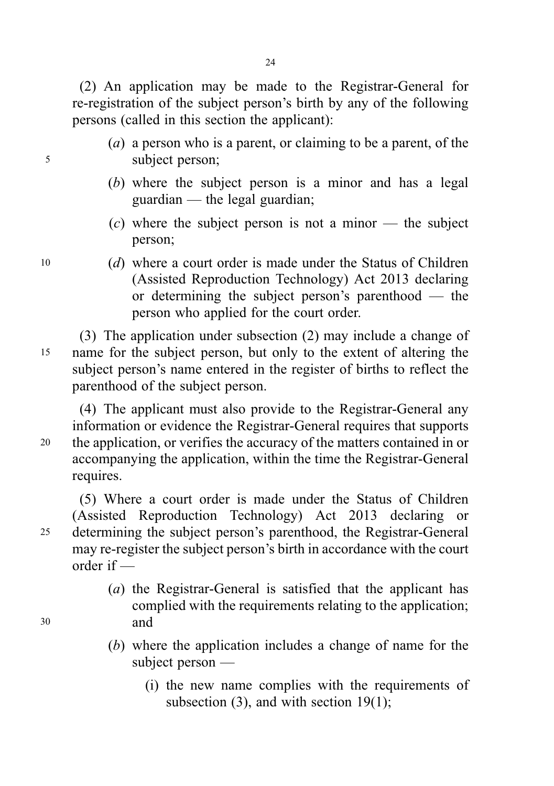(2) An application may be made to the Registrar-General for re-registration of the subject person's birth by any of the following persons (called in this section the applicant):

- (a) a person who is a parent, or claiming to be a parent, of the <sup>5</sup> subject person;
	- (b) where the subject person is a minor and has a legal guardian — the legal guardian;
	- $(c)$  where the subject person is not a minor the subject person;
- <sup>10</sup> (d) where a court order is made under the Status of Children (Assisted Reproduction Technology) Act 2013 declaring or determining the subject person's parenthood — the person who applied for the court order.

(3) The application under subsection (2) may include a change of <sup>15</sup> name for the subject person, but only to the extent of altering the subject person's name entered in the register of births to reflect the parenthood of the subject person.

(4) The applicant must also provide to the Registrar-General any information or evidence the Registrar-General requires that supports <sup>20</sup> the application, or verifies the accuracy of the matters contained in or accompanying the application, within the time the Registrar-General requires.

(5) Where a court order is made under the Status of Children (Assisted Reproduction Technology) Act 2013 declaring or <sup>25</sup> determining the subject person's parenthood, the Registrar-General may re-register the subject person's birth in accordance with the court order if —

- (a) the Registrar-General is satisfied that the applicant has complied with the requirements relating to the application; <sup>30</sup> and
	- (b) where the application includes a change of name for the subject person —
		- (i) the new name complies with the requirements of subsection  $(3)$ , and with section 19 $(1)$ ;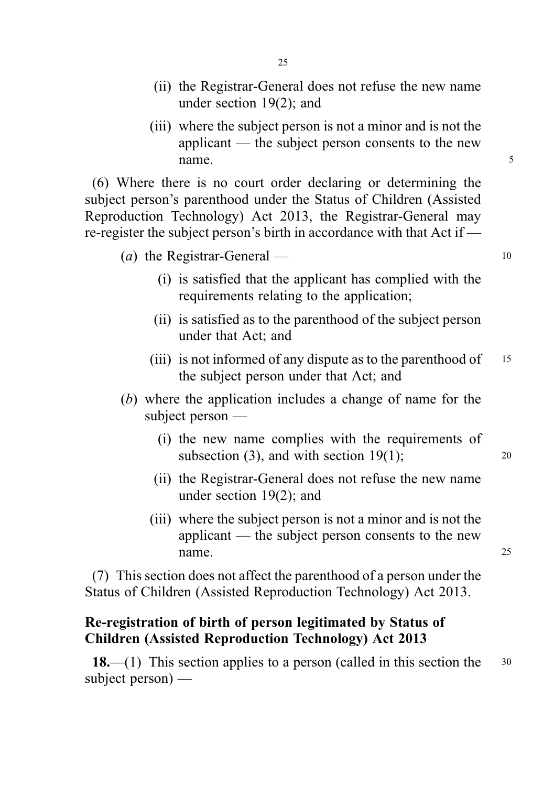- (ii) the Registrar-General does not refuse the new name under section 19(2); and
- (iii) where the subject person is not a minor and is not the applicant — the subject person consents to the new name. 5

(6) Where there is no court order declaring or determining the subject person's parenthood under the Status of Children (Assisted Reproduction Technology) Act 2013, the Registrar-General may re-register the subject person's birth in accordance with that Act if —

| ( <i>a</i> ) the Registrar-General — |  |
|--------------------------------------|--|
|--------------------------------------|--|

- (i) is satisfied that the applicant has complied with the requirements relating to the application;
- (ii) is satisfied as to the parenthood of the subject person under that Act; and
- (iii) is not informed of any dispute as to the parenthood of  $15$ the subject person under that Act; and
- (b) where the application includes a change of name for the subject person —
	- (i) the new name complies with the requirements of subsection  $(3)$ , and with section  $19(1)$ ; 20
	- (ii) the Registrar-General does not refuse the new name under section 19(2); and
	- (iii) where the subject person is not a minor and is not the applicant — the subject person consents to the new name.

(7) This section does not affect the parenthood of a person under the Status of Children (Assisted Reproduction Technology) Act 2013.

# Re-registration of birth of person legitimated by Status of Children (Assisted Reproduction Technology) Act 2013

18.—(1) This section applies to a person (called in this section the  $30$ subject person) —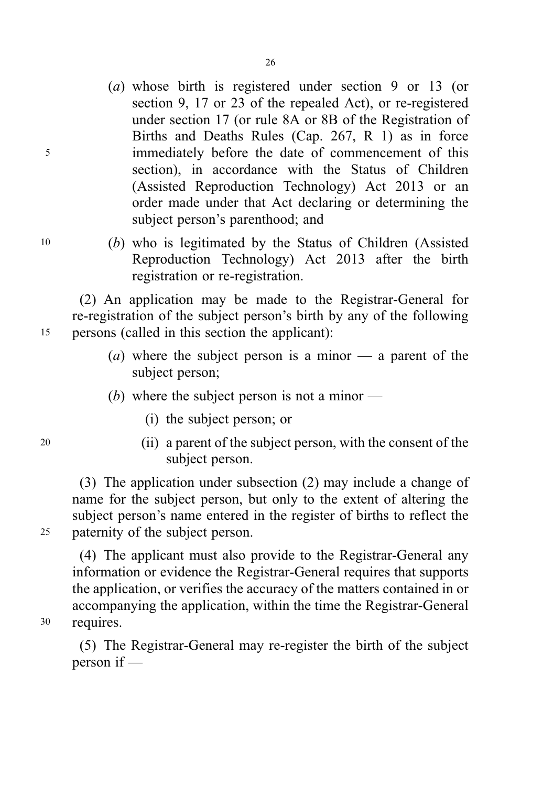- (a) whose birth is registered under section 9 or 13 (or section 9, 17 or 23 of the repealed Act), or re-registered under section 17 (or rule 8A or 8B of the Registration of Births and Deaths Rules (Cap. 267, R 1) as in force <sup>5</sup> immediately before the date of commencement of this section), in accordance with the Status of Children (Assisted Reproduction Technology) Act 2013 or an order made under that Act declaring or determining the subject person's parenthood; and
- <sup>10</sup> (b) who is legitimated by the Status of Children (Assisted Reproduction Technology) Act 2013 after the birth registration or re-registration.

(2) An application may be made to the Registrar-General for re-registration of the subject person's birth by any of the following <sup>15</sup> persons (called in this section the applicant):

- (a) where the subject person is a minor  $\overline{a}$  parent of the subject person;
- (b) where the subject person is not a minor  $-$ 
	- (i) the subject person; or
- <sup>20</sup> (ii) a parent of the subject person, with the consent of the subject person.

(3) The application under subsection (2) may include a change of name for the subject person, but only to the extent of altering the subject person's name entered in the register of births to reflect the <sup>25</sup> paternity of the subject person.

(4) The applicant must also provide to the Registrar-General any information or evidence the Registrar-General requires that supports the application, or verifies the accuracy of the matters contained in or accompanying the application, within the time the Registrar-General <sup>30</sup> requires.

(5) The Registrar-General may re-register the birth of the subject person if —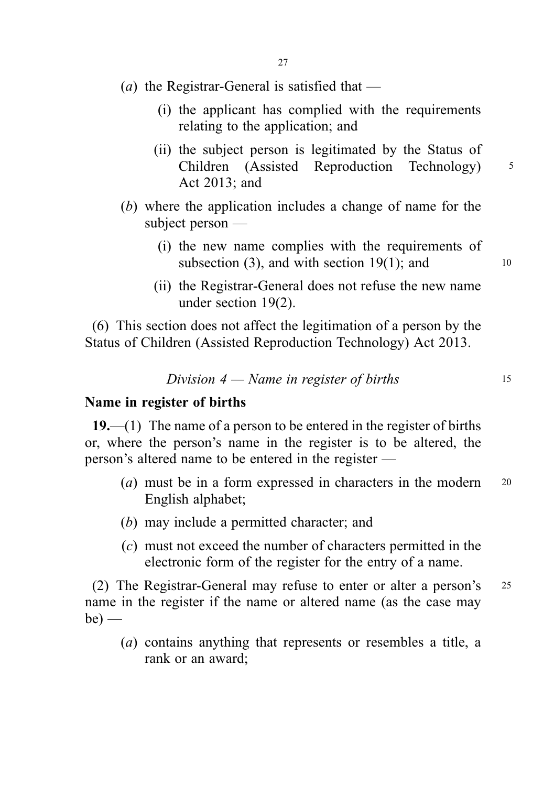- (a) the Registrar-General is satisfied that
	- (i) the applicant has complied with the requirements relating to the application; and
	- (ii) the subject person is legitimated by the Status of Children (Assisted Reproduction Technology) <sup>5</sup> Act 2013; and
- (b) where the application includes a change of name for the subject person —
	- (i) the new name complies with the requirements of subsection (3), and with section 19(1); and  $10$
	- (ii) the Registrar-General does not refuse the new name under section 19(2).

(6) This section does not affect the legitimation of a person by the Status of Children (Assisted Reproduction Technology) Act 2013.

Division  $4 -$  Name in register of births 15

Name in register of births

 $19,$ —(1) The name of a person to be entered in the register of births or, where the person's name in the register is to be altered, the person's altered name to be entered in the register —

- (*a*) must be in a form expressed in characters in the modern  $20$ English alphabet;
- (b) may include a permitted character; and
- (c) must not exceed the number of characters permitted in the electronic form of the register for the entry of a name.

(2) The Registrar-General may refuse to enter or alter a person's <sup>25</sup> name in the register if the name or altered name (as the case may  $be)$  —

(a) contains anything that represents or resembles a title, a rank or an award;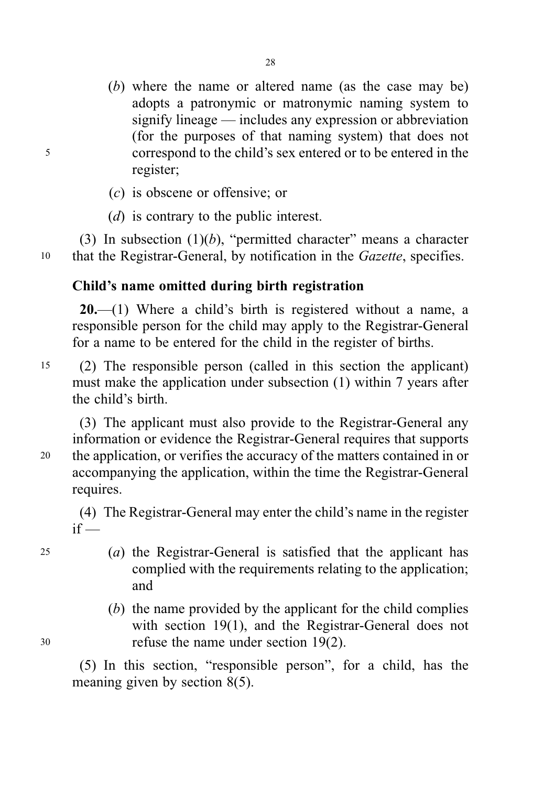- (b) where the name or altered name (as the case may be) adopts a patronymic or matronymic naming system to signify lineage — includes any expression or abbreviation (for the purposes of that naming system) that does not <sup>5</sup> correspond to the child's sex entered or to be entered in the register;
	- (c) is obscene or offensive; or
	- (*d*) is contrary to the public interest.

(3) In subsection  $(1)(b)$ , "permitted character" means a character <sup>10</sup> that the Registrar-General, by notification in the Gazette, specifies.

# Child's name omitted during birth registration

20.—(1) Where a child's birth is registered without a name, a responsible person for the child may apply to the Registrar-General for a name to be entered for the child in the register of births.

<sup>15</sup> (2) The responsible person (called in this section the applicant) must make the application under subsection (1) within 7 years after the child's birth.

(3) The applicant must also provide to the Registrar-General any information or evidence the Registrar-General requires that supports <sup>20</sup> the application, or verifies the accuracy of the matters contained in or accompanying the application, within the time the Registrar-General requires.

(4) The Registrar-General may enter the child's name in the register  $if -$ 

- <sup>25</sup> (a) the Registrar-General is satisfied that the applicant has complied with the requirements relating to the application; and
- (b) the name provided by the applicant for the child complies with section 19(1), and the Registrar-General does not <sup>30</sup> refuse the name under section 19(2).

(5) In this section, "responsible person", for a child, has the meaning given by section 8(5).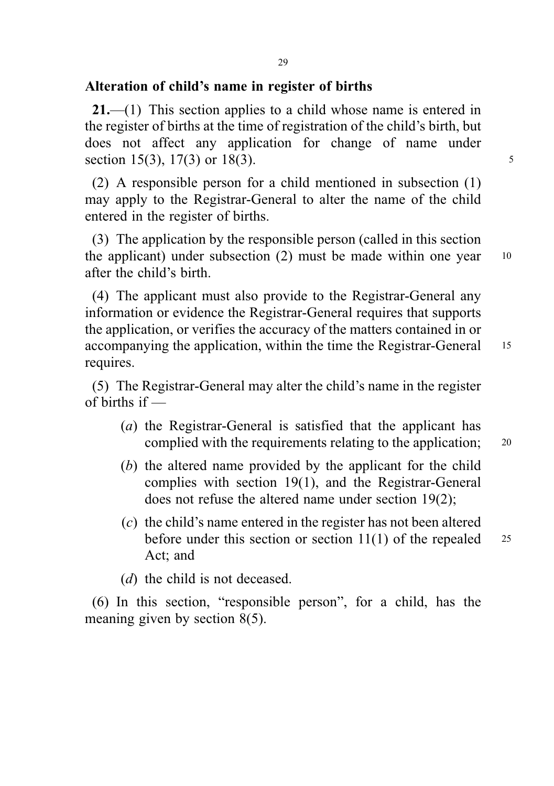### Alteration of child's name in register of births

21.—(1) This section applies to a child whose name is entered in the register of births at the time of registration of the child's birth, but does not affect any application for change of name under section 15(3), 17(3) or 18(3).

(2) A responsible person for a child mentioned in subsection (1) may apply to the Registrar-General to alter the name of the child entered in the register of births.

(3) The application by the responsible person (called in this section the applicant) under subsection  $(2)$  must be made within one year  $10$ after the child's birth.

(4) The applicant must also provide to the Registrar-General any information or evidence the Registrar-General requires that supports the application, or verifies the accuracy of the matters contained in or accompanying the application, within the time the Registrar-General 15 requires.

(5) The Registrar-General may alter the child's name in the register of births if —

- (a) the Registrar-General is satisfied that the applicant has complied with the requirements relating to the application; <sup>20</sup>
- (b) the altered name provided by the applicant for the child complies with section 19(1), and the Registrar-General does not refuse the altered name under section 19(2);
- (c) the child's name entered in the register has not been altered before under this section or section  $11(1)$  of the repealed 25 Act; and

(*d*) the child is not deceased.

(6) In this section, "responsible person", for a child, has the meaning given by section 8(5).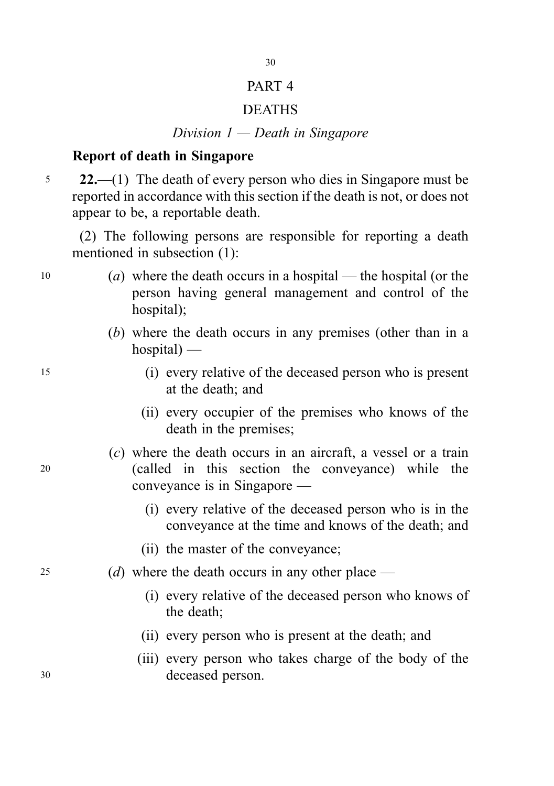# PART 4

## DEATHS

# Division 1 — Death in Singapore

# Report of death in Singapore

<sup>5</sup> 22.—(1) The death of every person who dies in Singapore must be reported in accordance with this section if the death is not, or does not appear to be, a reportable death.

(2) The following persons are responsible for reporting a death mentioned in subsection (1):

- <sup>10</sup> (a) where the death occurs in a hospital the hospital (or the person having general management and control of the hospital);
	- (b) where the death occurs in any premises (other than in a  $hospital$ ) —
- <sup>15</sup> (i) every relative of the deceased person who is present at the death; and
	- (ii) every occupier of the premises who knows of the death in the premises;
- (c) where the death occurs in an aircraft, a vessel or a train <sup>20</sup> (called in this section the conveyance) while the conveyance is in Singapore —
	- (i) every relative of the deceased person who is in the conveyance at the time and knows of the death; and
	- (ii) the master of the conveyance;
- 25 (d) where the death occurs in any other place  $-$ 
	- (i) every relative of the deceased person who knows of the death;
	- (ii) every person who is present at the death; and
- (iii) every person who takes charge of the body of the <sup>30</sup> deceased person.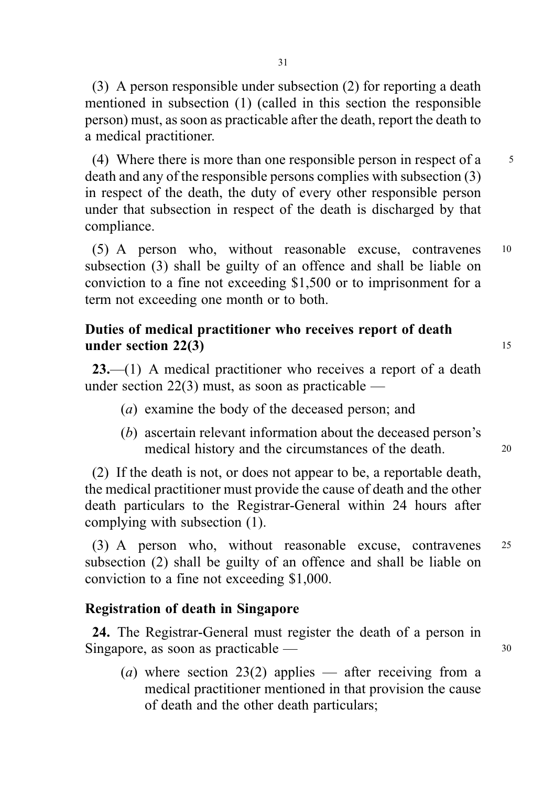31

(3) A person responsible under subsection (2) for reporting a death mentioned in subsection (1) (called in this section the responsible person) must, as soon as practicable after the death, report the death to a medical practitioner.

(4) Where there is more than one responsible person in respect of a  $\frac{5}{5}$ death and any of the responsible persons complies with subsection (3) in respect of the death, the duty of every other responsible person under that subsection in respect of the death is discharged by that compliance.

(5) A person who, without reasonable excuse, contravenes <sup>10</sup> subsection (3) shall be guilty of an offence and shall be liable on conviction to a fine not exceeding \$1,500 or to imprisonment for a term not exceeding one month or to both.

# Duties of medical practitioner who receives report of death under section  $22(3)$  15

23.—(1) A medical practitioner who receives a report of a death under section 22(3) must, as soon as practicable —

- (a) examine the body of the deceased person; and
- (b) ascertain relevant information about the deceased person's medical history and the circumstances of the death. 20

(2) If the death is not, or does not appear to be, a reportable death, the medical practitioner must provide the cause of death and the other death particulars to the Registrar-General within 24 hours after complying with subsection (1).

(3) A person who, without reasonable excuse, contravenes <sup>25</sup> subsection (2) shall be guilty of an offence and shall be liable on conviction to a fine not exceeding \$1,000.

# Registration of death in Singapore

24. The Registrar-General must register the death of a person in Singapore, as soon as practicable — 30

(a) where section 23(2) applies — after receiving from a medical practitioner mentioned in that provision the cause of death and the other death particulars;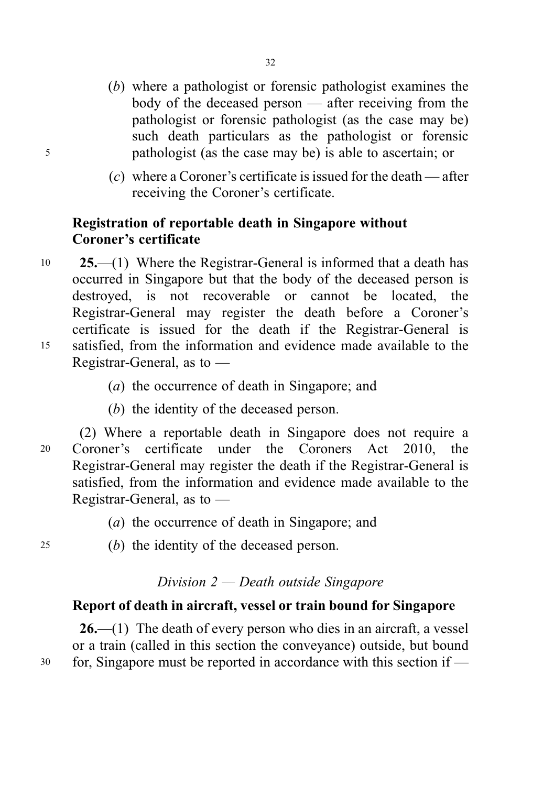- (b) where a pathologist or forensic pathologist examines the body of the deceased person — after receiving from the pathologist or forensic pathologist (as the case may be) such death particulars as the pathologist or forensic <sup>5</sup> pathologist (as the case may be) is able to ascertain; or
	- (c) where a Coroner's certificate is issued for the death after receiving the Coroner's certificate.

# Registration of reportable death in Singapore without Coroner's certificate

- <sup>10</sup> 25.—(1) Where the Registrar-General is informed that a death has occurred in Singapore but that the body of the deceased person is destroyed, is not recoverable or cannot be located, the Registrar-General may register the death before a Coroner's certificate is issued for the death if the Registrar-General is <sup>15</sup> satisfied, from the information and evidence made available to the Registrar-General, as to —
	- (a) the occurrence of death in Singapore; and
	- (b) the identity of the deceased person.

(2) Where a reportable death in Singapore does not require a <sup>20</sup> Coroner's certificate under the Coroners Act 2010, the Registrar-General may register the death if the Registrar-General is satisfied, from the information and evidence made available to the Registrar-General, as to —

- (a) the occurrence of death in Singapore; and
- <sup>25</sup> (b) the identity of the deceased person.

### Division 2 — Death outside Singapore

# Report of death in aircraft, vessel or train bound for Singapore

26.—(1) The death of every person who dies in an aircraft, a vessel or a train (called in this section the conveyance) outside, but bound <sup>30</sup> for, Singapore must be reported in accordance with this section if —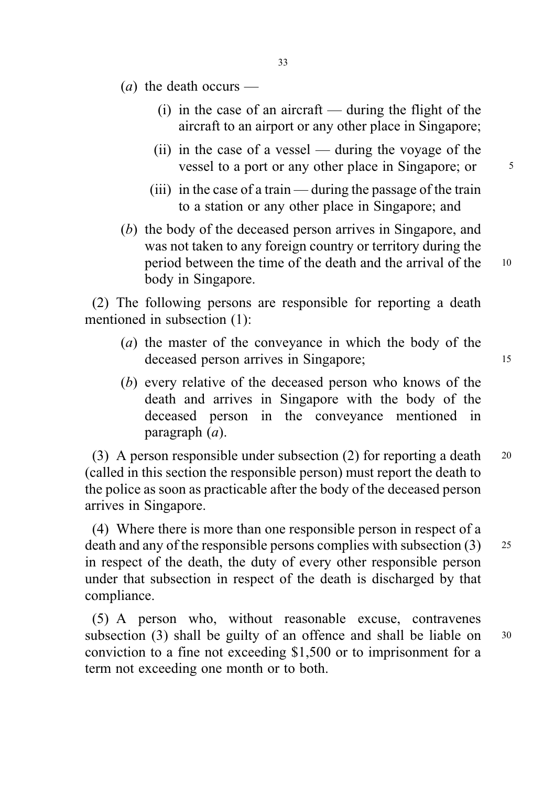- (*a*) the death occurs
	- $(i)$  in the case of an aircraft during the flight of the aircraft to an airport or any other place in Singapore;
	- (ii) in the case of a vessel during the voyage of the vessel to a port or any other place in Singapore; or  $\frac{5}{5}$
	- (iii) in the case of a train during the passage of the train to a station or any other place in Singapore; and
- (b) the body of the deceased person arrives in Singapore, and was not taken to any foreign country or territory during the period between the time of the death and the arrival of the <sup>10</sup> body in Singapore.

(2) The following persons are responsible for reporting a death mentioned in subsection (1):

- (a) the master of the conveyance in which the body of the deceased person arrives in Singapore; 15
- (b) every relative of the deceased person who knows of the death and arrives in Singapore with the body of the deceased person in the conveyance mentioned in paragraph (a).

(3) A person responsible under subsection (2) for reporting a death <sup>20</sup> (called in this section the responsible person) must report the death to the police as soon as practicable after the body of the deceased person arrives in Singapore.

(4) Where there is more than one responsible person in respect of a death and any of the responsible persons complies with subsection (3) 25 in respect of the death, the duty of every other responsible person under that subsection in respect of the death is discharged by that compliance.

(5) A person who, without reasonable excuse, contravenes subsection (3) shall be guilty of an offence and shall be liable on  $30$ conviction to a fine not exceeding \$1,500 or to imprisonment for a term not exceeding one month or to both.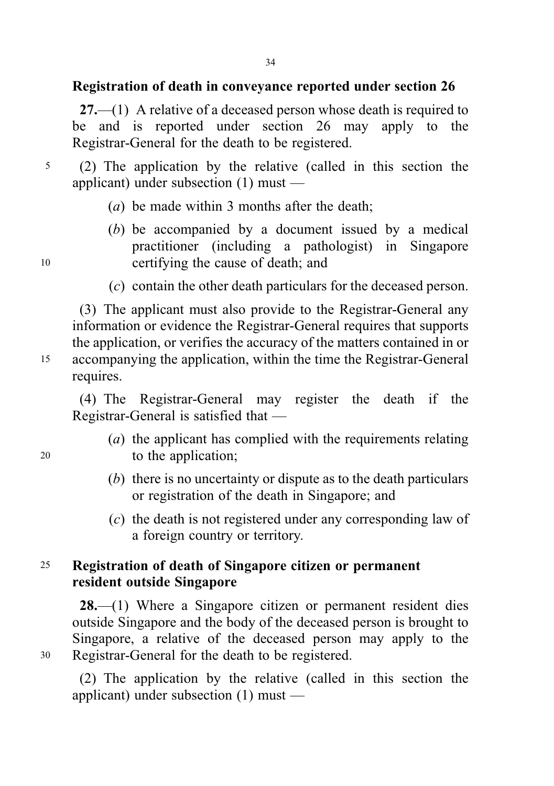# Registration of death in conveyance reported under section 26

 $27.$ —(1) A relative of a deceased person whose death is required to be and is reported under section 26 may apply to the Registrar-General for the death to be registered.

- <sup>5</sup> (2) The application by the relative (called in this section the applicant) under subsection (1) must —
	- (a) be made within 3 months after the death:
- (b) be accompanied by a document issued by a medical practitioner (including a pathologist) in Singapore <sup>10</sup> certifying the cause of death; and
	- (c) contain the other death particulars for the deceased person.

(3) The applicant must also provide to the Registrar-General any information or evidence the Registrar-General requires that supports the application, or verifies the accuracy of the matters contained in or <sup>15</sup> accompanying the application, within the time the Registrar-General requires.

(4) The Registrar-General may register the death if the Registrar-General is satisfied that —

- (a) the applicant has complied with the requirements relating <sup>20</sup> to the application;
	- (b) there is no uncertainty or dispute as to the death particulars or registration of the death in Singapore; and
	- (c) the death is not registered under any corresponding law of a foreign country or territory.

# <sup>25</sup> Registration of death of Singapore citizen or permanent resident outside Singapore

28.—(1) Where a Singapore citizen or permanent resident dies outside Singapore and the body of the deceased person is brought to Singapore, a relative of the deceased person may apply to the <sup>30</sup> Registrar-General for the death to be registered.

(2) The application by the relative (called in this section the applicant) under subsection (1) must —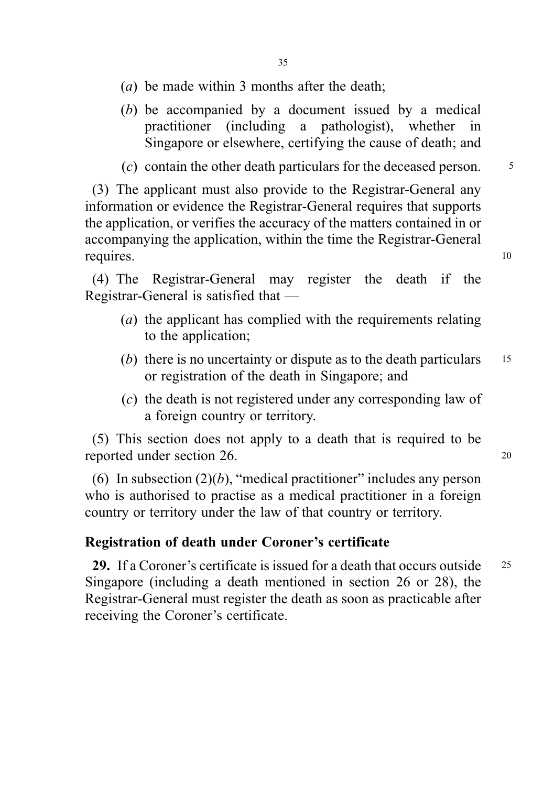- (a) be made within 3 months after the death;
- (b) be accompanied by a document issued by a medical practitioner (including a pathologist), whether in Singapore or elsewhere, certifying the cause of death; and

 $(c)$  contain the other death particulars for the deceased person.  $\frac{5}{2}$ 

(3) The applicant must also provide to the Registrar-General any information or evidence the Registrar-General requires that supports the application, or verifies the accuracy of the matters contained in or accompanying the application, within the time the Registrar-General requires. 10

(4) The Registrar-General may register the death if the Registrar-General is satisfied that —

- (a) the applicant has complied with the requirements relating to the application;
- (b) there is no uncertainty or dispute as to the death particulars  $15$ or registration of the death in Singapore; and
- (c) the death is not registered under any corresponding law of a foreign country or territory.

(5) This section does not apply to a death that is required to be reported under section 26. 20

(6) In subsection  $(2)(b)$ , "medical practitioner" includes any person who is authorised to practise as a medical practitioner in a foreign country or territory under the law of that country or territory.

## Registration of death under Coroner's certificate

29. If a Coroner's certificate is issued for a death that occurs outside 25 Singapore (including a death mentioned in section 26 or 28), the Registrar-General must register the death as soon as practicable after receiving the Coroner's certificate.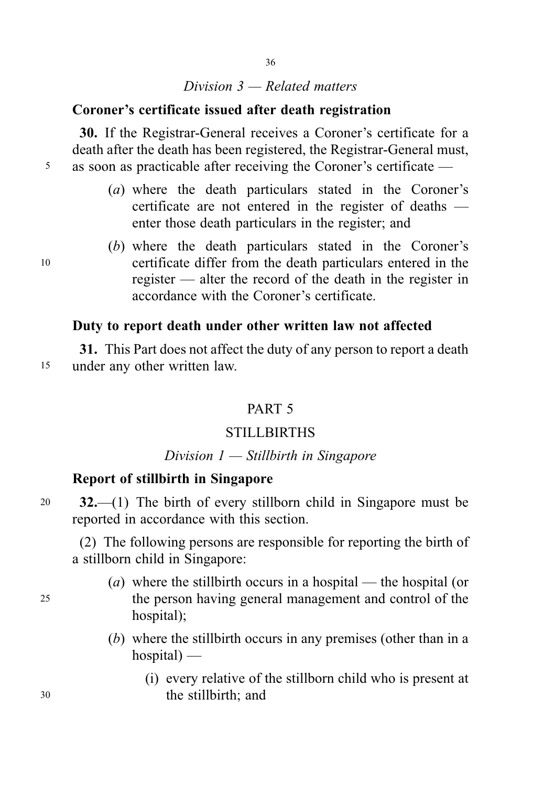## Division 3 — Related matters

## Coroner's certificate issued after death registration

30. If the Registrar-General receives a Coroner's certificate for a death after the death has been registered, the Registrar-General must, <sup>5</sup> as soon as practicable after receiving the Coroner's certificate —

- (a) where the death particulars stated in the Coroner's certificate are not entered in the register of deaths enter those death particulars in the register; and
- (b) where the death particulars stated in the Coroner's <sup>10</sup> certificate differ from the death particulars entered in the register — alter the record of the death in the register in accordance with the Coroner's certificate.

# Duty to report death under other written law not affected

31. This Part does not affect the duty of any person to report a death <sup>15</sup> under any other written law.

# PART 5

# **STILLBIRTHS**

# Division  $1$  — Stillbirth in Singapore

# Report of stillbirth in Singapore

<sup>20</sup> 32.—(1) The birth of every stillborn child in Singapore must be reported in accordance with this section.

(2) The following persons are responsible for reporting the birth of a stillborn child in Singapore:

- (a) where the stillbirth occurs in a hospital the hospital (or <sup>25</sup> the person having general management and control of the hospital):
	- (b) where the stillbirth occurs in any premises (other than in a  $hospital$ ) —
- (i) every relative of the stillborn child who is present at <sup>30</sup> the stillbirth; and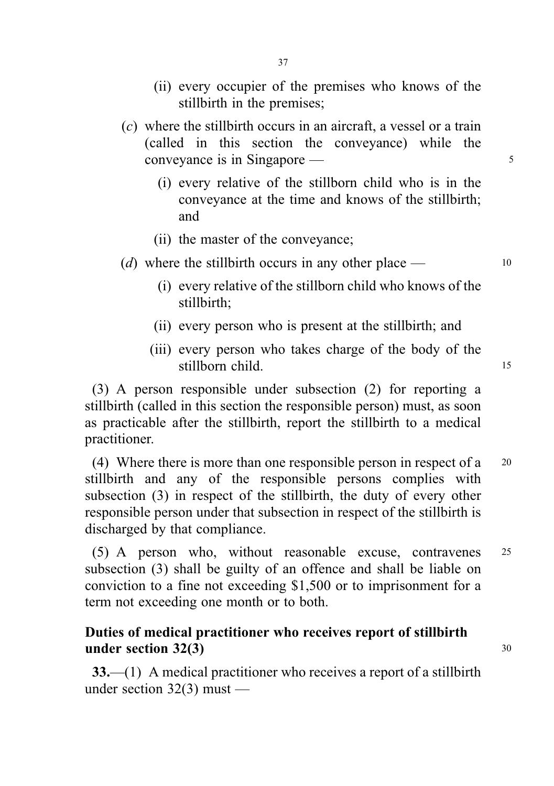- (ii) every occupier of the premises who knows of the stillbirth in the premises;
- (c) where the stillbirth occurs in an aircraft, a vessel or a train (called in this section the conveyance) while the conveyance is in Singapore — 5
	- (i) every relative of the stillborn child who is in the conveyance at the time and knows of the stillbirth; and
	- (ii) the master of the conveyance;
- (d) where the stillbirth occurs in any other place  $\rightarrow$  10
	- (i) every relative of the stillborn child who knows of the stillbirth;
	- (ii) every person who is present at the stillbirth; and
	- (iii) every person who takes charge of the body of the stillborn child. 15

(3) A person responsible under subsection (2) for reporting a stillbirth (called in this section the responsible person) must, as soon as practicable after the stillbirth, report the stillbirth to a medical practitioner.

(4) Where there is more than one responsible person in respect of a <sup>20</sup> stillbirth and any of the responsible persons complies with subsection (3) in respect of the stillbirth, the duty of every other responsible person under that subsection in respect of the stillbirth is discharged by that compliance.

(5) A person who, without reasonable excuse, contravenes <sup>25</sup> subsection (3) shall be guilty of an offence and shall be liable on conviction to a fine not exceeding \$1,500 or to imprisonment for a term not exceeding one month or to both.

# Duties of medical practitioner who receives report of stillbirth under section  $32(3)$  30

33.—(1) A medical practitioner who receives a report of a stillbirth under section 32(3) must —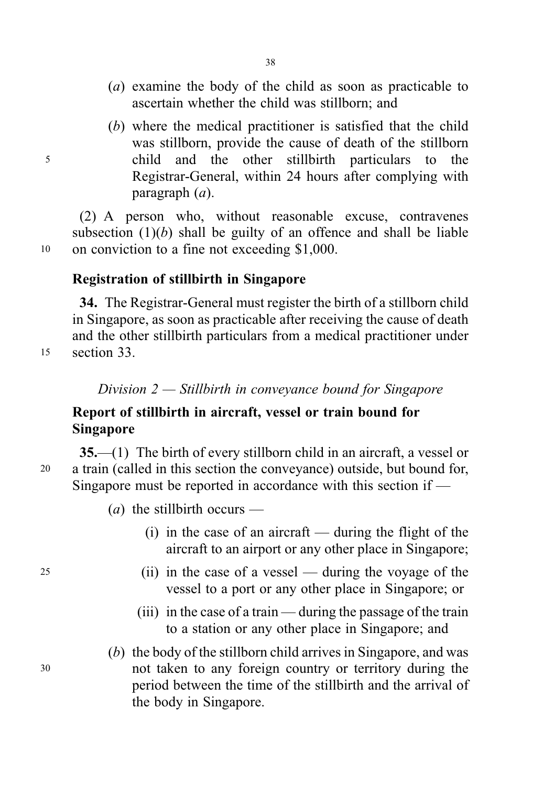- (a) examine the body of the child as soon as practicable to ascertain whether the child was stillborn; and
- (b) where the medical practitioner is satisfied that the child was stillborn, provide the cause of death of the stillborn <sup>5</sup> child and the other stillbirth particulars to the Registrar-General, within 24 hours after complying with paragraph (a).

(2) A person who, without reasonable excuse, contravenes subsection  $(1)(b)$  shall be guilty of an offence and shall be liable <sup>10</sup> on conviction to a fine not exceeding \$1,000.

# Registration of stillbirth in Singapore

34. The Registrar-General must register the birth of a stillborn child in Singapore, as soon as practicable after receiving the cause of death and the other stillbirth particulars from a medical practitioner under <sup>15</sup> section 33.

Division 2 — Stillbirth in conveyance bound for Singapore

# Report of stillbirth in aircraft, vessel or train bound for Singapore

35.—(1) The birth of every stillborn child in an aircraft, a vessel or <sup>20</sup> a train (called in this section the conveyance) outside, but bound for, Singapore must be reported in accordance with this section if —

(*a*) the stillbirth occurs —

- (i) in the case of an aircraft during the flight of the aircraft to an airport or any other place in Singapore;
- <sup>25</sup> (ii) in the case of a vessel during the voyage of the vessel to a port or any other place in Singapore; or
	- (iii) in the case of a train during the passage of the train to a station or any other place in Singapore; and
- (b) the body of the stillborn child arrives in Singapore, and was <sup>30</sup> not taken to any foreign country or territory during the period between the time of the stillbirth and the arrival of the body in Singapore.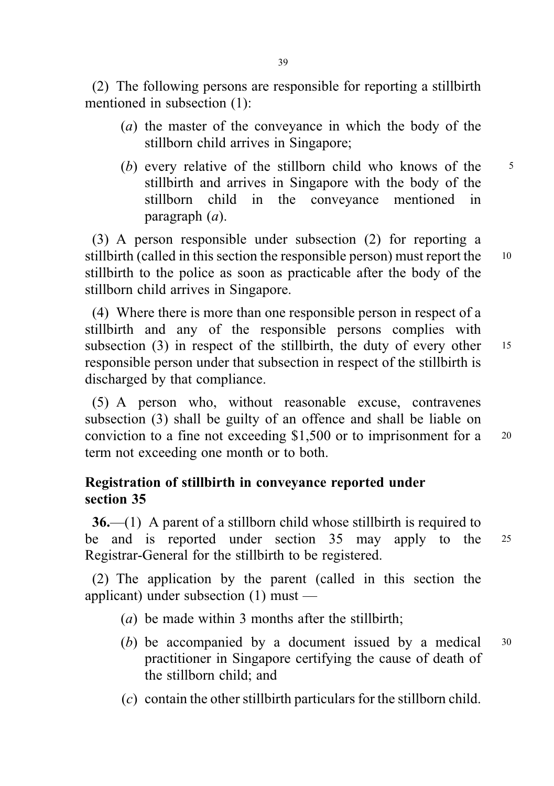(2) The following persons are responsible for reporting a stillbirth mentioned in subsection (1):

- (a) the master of the conveyance in which the body of the stillborn child arrives in Singapore;
- (b) every relative of the stillborn child who knows of the  $\frac{5}{5}$ stillbirth and arrives in Singapore with the body of the stillborn child in the conveyance mentioned in paragraph (a).

(3) A person responsible under subsection (2) for reporting a stillbirth (called in this section the responsible person) must report the 10 stillbirth to the police as soon as practicable after the body of the stillborn child arrives in Singapore.

(4) Where there is more than one responsible person in respect of a stillbirth and any of the responsible persons complies with subsection  $(3)$  in respect of the stillbirth, the duty of every other 15 responsible person under that subsection in respect of the stillbirth is discharged by that compliance.

(5) A person who, without reasonable excuse, contravenes subsection (3) shall be guilty of an offence and shall be liable on conviction to a fine not exceeding \$1,500 or to imprisonment for a <sup>20</sup> term not exceeding one month or to both.

# Registration of stillbirth in conveyance reported under section 35

36.—(1) A parent of a stillborn child whose stillbirth is required to be and is reported under section 35 may apply to the <sup>25</sup> Registrar-General for the stillbirth to be registered.

(2) The application by the parent (called in this section the applicant) under subsection (1) must —

- (a) be made within 3 months after the stillbirth;
- (b) be accompanied by a document issued by a medical <sup>30</sup> practitioner in Singapore certifying the cause of death of the stillborn child; and
- (c) contain the other stillbirth particulars for the stillborn child.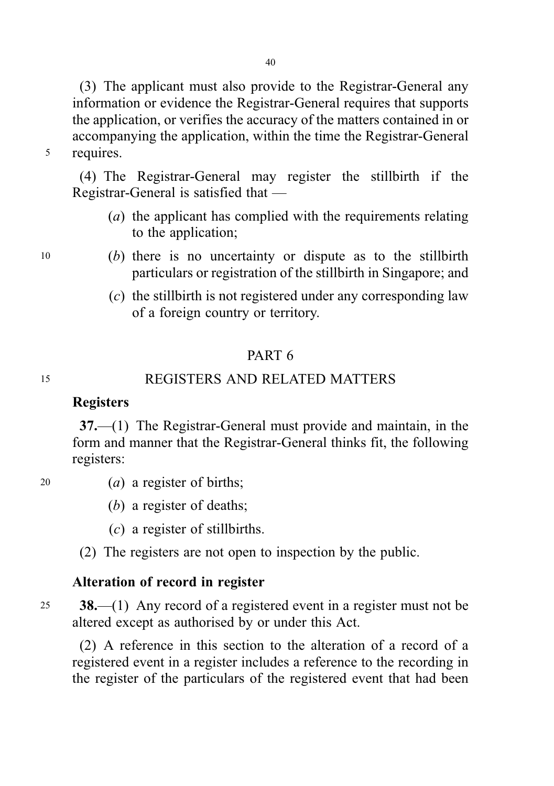40

(3) The applicant must also provide to the Registrar-General any information or evidence the Registrar-General requires that supports the application, or verifies the accuracy of the matters contained in or accompanying the application, within the time the Registrar-General <sup>5</sup> requires.

(4) The Registrar-General may register the stillbirth if the Registrar-General is satisfied that —

- (a) the applicant has complied with the requirements relating to the application;
- <sup>10</sup> (b) there is no uncertainty or dispute as to the stillbirth particulars or registration of the stillbirth in Singapore; and
	- (c) the stillbirth is not registered under any corresponding law of a foreign country or territory.

# PART 6

# <sup>15</sup> REGISTERS AND RELATED MATTERS

### **Registers**

37.—(1) The Registrar-General must provide and maintain, in the form and manner that the Registrar-General thinks fit, the following registers:

- 
- 20  $(a)$  a register of births;
	- (b) a register of deaths;
	- (c) a register of stillbirths.
	- (2) The registers are not open to inspection by the public.

# Alteration of record in register

25 **38.**—(1) Any record of a registered event in a register must not be altered except as authorised by or under this Act.

(2) A reference in this section to the alteration of a record of a registered event in a register includes a reference to the recording in the register of the particulars of the registered event that had been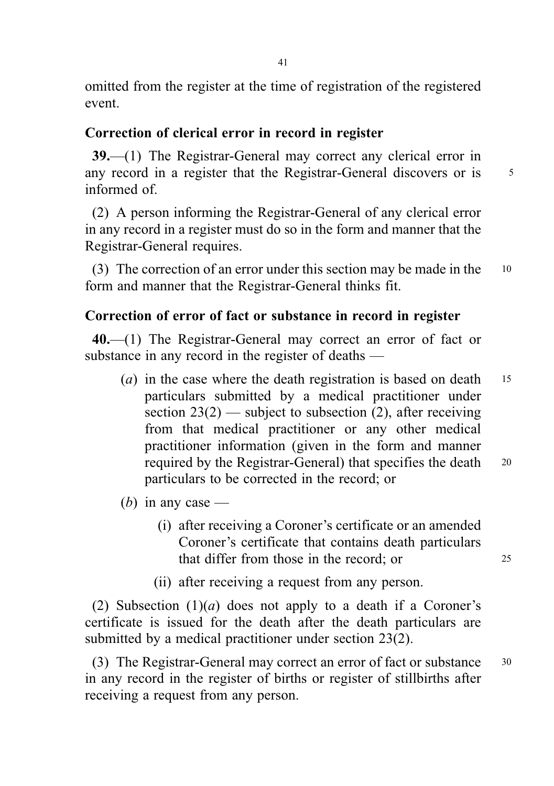omitted from the register at the time of registration of the registered event.

# Correction of clerical error in record in register

39.—(1) The Registrar-General may correct any clerical error in any record in a register that the Registrar-General discovers or is  $5^{\circ}$ informed of.

(2) A person informing the Registrar-General of any clerical error in any record in a register must do so in the form and manner that the Registrar-General requires.

(3) The correction of an error under this section may be made in the <sup>10</sup> form and manner that the Registrar-General thinks fit.

# Correction of error of fact or substance in record in register

40.—(1) The Registrar-General may correct an error of fact or substance in any record in the register of deaths —

- (*a*) in the case where the death registration is based on death  $15$ particulars submitted by a medical practitioner under section  $23(2)$  — subject to subsection (2), after receiving from that medical practitioner or any other medical practitioner information (given in the form and manner required by the Registrar-General) that specifies the death <sup>20</sup> particulars to be corrected in the record; or
- (b) in any case
	- (i) after receiving a Coroner's certificate or an amended Coroner's certificate that contains death particulars that differ from those in the record; or 25
	- (ii) after receiving a request from any person.

(2) Subsection  $(1)(a)$  does not apply to a death if a Coroner's certificate is issued for the death after the death particulars are submitted by a medical practitioner under section 23(2).

(3) The Registrar-General may correct an error of fact or substance <sup>30</sup> in any record in the register of births or register of stillbirths after receiving a request from any person.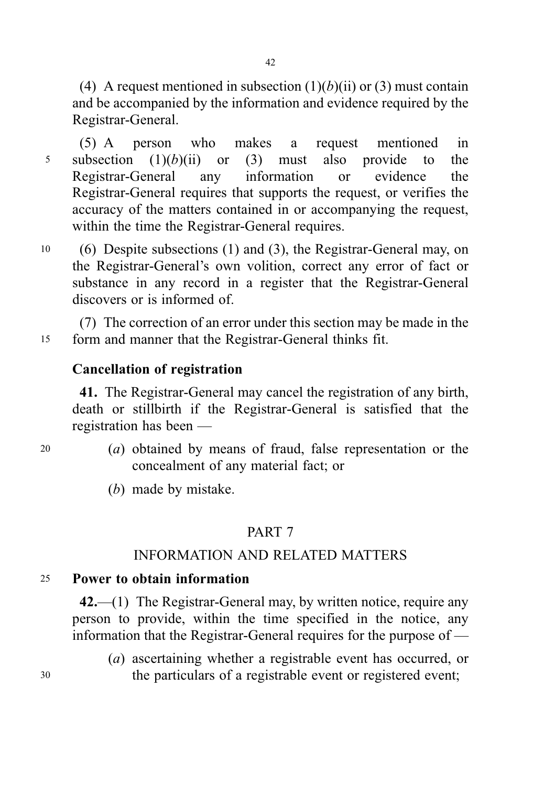(4) A request mentioned in subsection  $(1)(b)(ii)$  or  $(3)$  must contain and be accompanied by the information and evidence required by the Registrar-General.

(5) A person who makes a request mentioned in 5 subsection  $(1)(b)(ii)$  or  $(3)$  must also provide to the Registrar-General any information or evidence the Registrar-General requires that supports the request, or verifies the accuracy of the matters contained in or accompanying the request, within the time the Registrar-General requires.

<sup>10</sup> (6) Despite subsections (1) and (3), the Registrar-General may, on the Registrar-General's own volition, correct any error of fact or substance in any record in a register that the Registrar-General discovers or is informed of.

(7) The correction of an error under this section may be made in the <sup>15</sup> form and manner that the Registrar-General thinks fit.

## Cancellation of registration

41. The Registrar-General may cancel the registration of any birth, death or stillbirth if the Registrar-General is satisfied that the registration has been —

- 
- <sup>20</sup> (a) obtained by means of fraud, false representation or the concealment of any material fact; or

(b) made by mistake.

### PART 7

# INFORMATION AND RELATED MATTERS

### <sup>25</sup> Power to obtain information

42.—(1) The Registrar-General may, by written notice, require any person to provide, within the time specified in the notice, any information that the Registrar-General requires for the purpose of —

(a) ascertaining whether a registrable event has occurred, or <sup>30</sup> the particulars of a registrable event or registered event;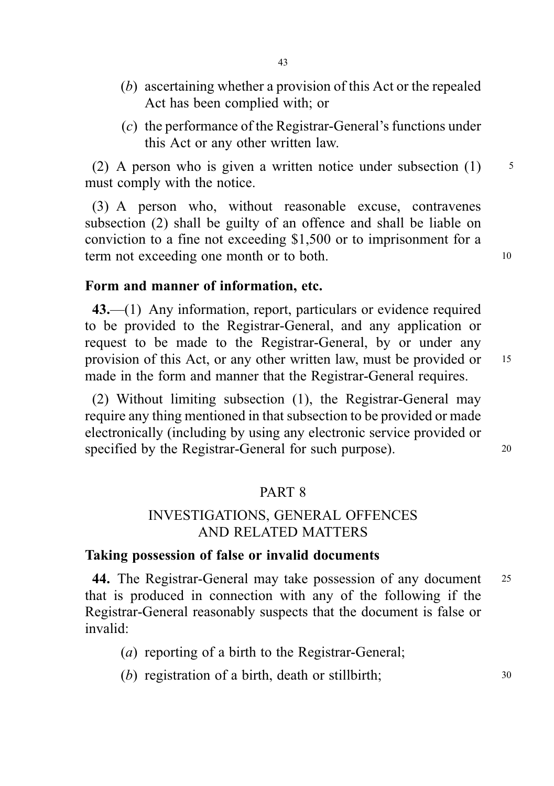- (b) ascertaining whether a provision of this Act or the repealed Act has been complied with; or
- (c) the performance of the Registrar-General's functions under this Act or any other written law.

(2) A person who is given a written notice under subsection  $(1)$  5 must comply with the notice.

(3) A person who, without reasonable excuse, contravenes subsection (2) shall be guilty of an offence and shall be liable on conviction to a fine not exceeding \$1,500 or to imprisonment for a term not exceeding one month or to both. 10

### Form and manner of information, etc.

43.—(1) Any information, report, particulars or evidence required to be provided to the Registrar-General, and any application or request to be made to the Registrar-General, by or under any provision of this Act, or any other written law, must be provided or <sup>15</sup> made in the form and manner that the Registrar-General requires.

(2) Without limiting subsection (1), the Registrar-General may require any thing mentioned in that subsection to be provided or made electronically (including by using any electronic service provided or specified by the Registrar-General for such purpose). 20

### PART 8

## INVESTIGATIONS, GENERAL OFFENCES AND RELATED MATTERS

### Taking possession of false or invalid documents

44. The Registrar-General may take possession of any document 25 that is produced in connection with any of the following if the Registrar-General reasonably suspects that the document is false or invalid:

- (a) reporting of a birth to the Registrar-General;
- (b) registration of a birth, death or stillbirth; 30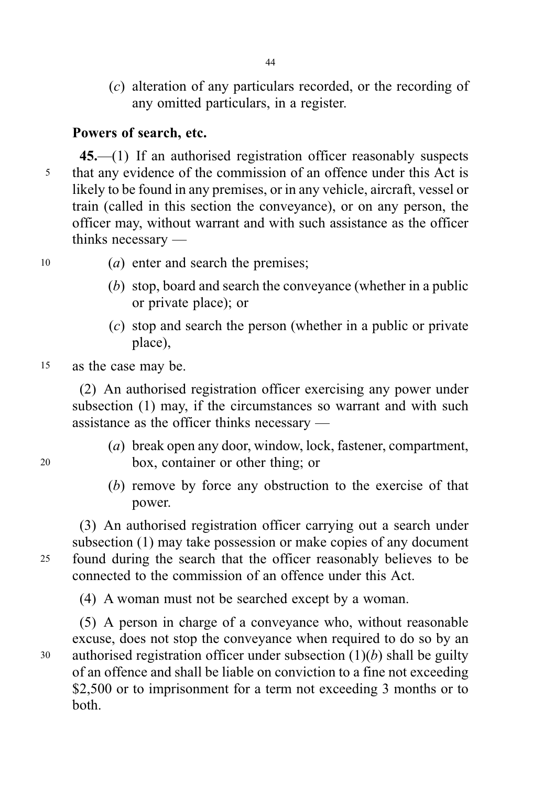(c) alteration of any particulars recorded, or the recording of any omitted particulars, in a register.

# Powers of search, etc.

45.—(1) If an authorised registration officer reasonably suspects <sup>5</sup> that any evidence of the commission of an offence under this Act is likely to be found in any premises, or in any vehicle, aircraft, vessel or train (called in this section the conveyance), or on any person, the officer may, without warrant and with such assistance as the officer thinks necessary —

- 
- <sup>10</sup> (a) enter and search the premises;
	- (b) stop, board and search the conveyance (whether in a public or private place); or
	- (c) stop and search the person (whether in a public or private place),

### <sup>15</sup> as the case may be.

(2) An authorised registration officer exercising any power under subsection (1) may, if the circumstances so warrant and with such assistance as the officer thinks necessary —

- (a) break open any door, window, lock, fastener, compartment, <sup>20</sup> box, container or other thing; or
	- (b) remove by force any obstruction to the exercise of that power.

(3) An authorised registration officer carrying out a search under subsection (1) may take possession or make copies of any document <sup>25</sup> found during the search that the officer reasonably believes to be connected to the commission of an offence under this Act.

(4) A woman must not be searched except by a woman.

(5) A person in charge of a conveyance who, without reasonable excuse, does not stop the conveyance when required to do so by an 30 authorised registration officer under subsection  $(1)(b)$  shall be guilty of an offence and shall be liable on conviction to a fine not exceeding \$2,500 or to imprisonment for a term not exceeding 3 months or to both.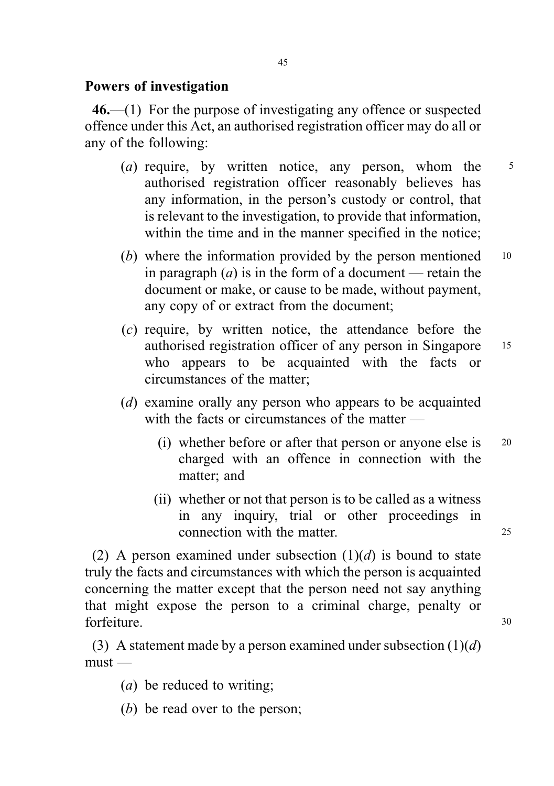# Powers of investigation

46.—(1) For the purpose of investigating any offence or suspected offence under this Act, an authorised registration officer may do all or any of the following:

- (a) require, by written notice, any person, whom the  $\frac{5}{5}$ authorised registration officer reasonably believes has any information, in the person's custody or control, that is relevant to the investigation, to provide that information, within the time and in the manner specified in the notice;
- (b) where the information provided by the person mentioned 10 in paragraph  $(a)$  is in the form of a document — retain the document or make, or cause to be made, without payment, any copy of or extract from the document;
- (c) require, by written notice, the attendance before the authorised registration officer of any person in Singapore <sup>15</sup> who appears to be acquainted with the facts or circumstances of the matter;
- (d) examine orally any person who appears to be acquainted with the facts or circumstances of the matter —
	- (i) whether before or after that person or anyone else is <sup>20</sup> charged with an offence in connection with the matter; and
	- (ii) whether or not that person is to be called as a witness in any inquiry, trial or other proceedings in connection with the matter. 25

(2) A person examined under subsection  $(1)(d)$  is bound to state truly the facts and circumstances with which the person is acquainted concerning the matter except that the person need not say anything that might expose the person to a criminal charge, penalty or forfeiture. 30

(3) A statement made by a person examined under subsection  $(1)(d)$  $must -$ 

- (a) be reduced to writing;
- (b) be read over to the person;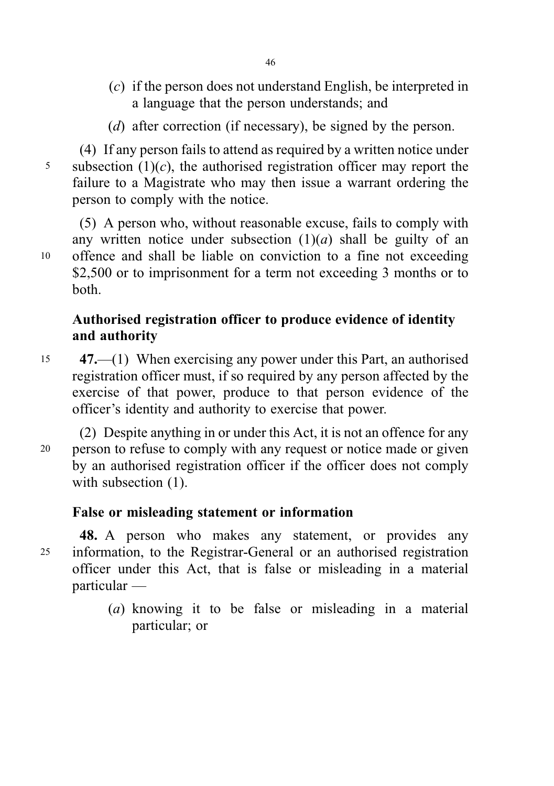- (c) if the person does not understand English, be interpreted in a language that the person understands; and
- (d) after correction (if necessary), be signed by the person.

(4) If any person fails to attend as required by a written notice under 5 subsection  $(1)(c)$ , the authorised registration officer may report the failure to a Magistrate who may then issue a warrant ordering the person to comply with the notice.

(5) A person who, without reasonable excuse, fails to comply with any written notice under subsection  $(1)(a)$  shall be guilty of an <sup>10</sup> offence and shall be liable on conviction to a fine not exceeding \$2,500 or to imprisonment for a term not exceeding 3 months or to both.

# Authorised registration officer to produce evidence of identity and authority

<sup>15</sup> 47.—(1) When exercising any power under this Part, an authorised registration officer must, if so required by any person affected by the exercise of that power, produce to that person evidence of the officer's identity and authority to exercise that power.

(2) Despite anything in or under this Act, it is not an offence for any <sup>20</sup> person to refuse to comply with any request or notice made or given by an authorised registration officer if the officer does not comply with subsection  $(1)$ .

# False or misleading statement or information

48. A person who makes any statement, or provides any <sup>25</sup> information, to the Registrar-General or an authorised registration officer under this Act, that is false or misleading in a material particular —

> (a) knowing it to be false or misleading in a material particular; or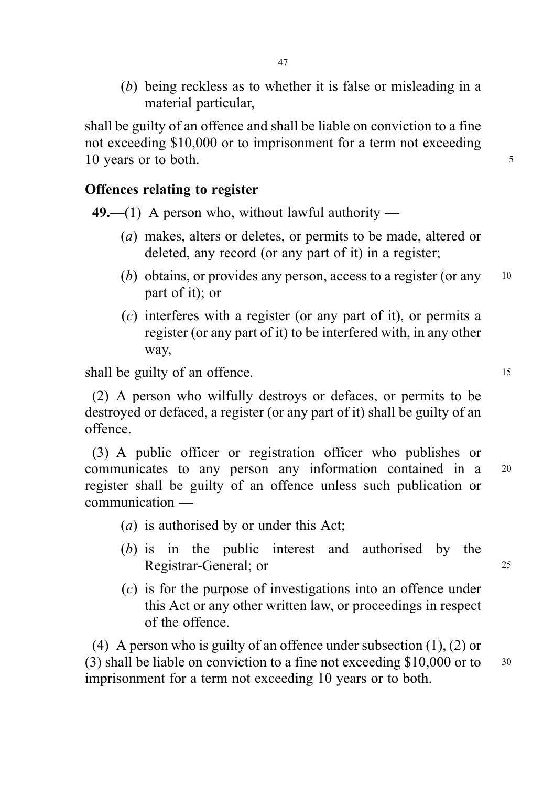(b) being reckless as to whether it is false or misleading in a material particular,

shall be guilty of an offence and shall be liable on conviction to a fine not exceeding \$10,000 or to imprisonment for a term not exceeding 10 years or to both. 5

# Offences relating to register

49.—(1) A person who, without lawful authority —

- (a) makes, alters or deletes, or permits to be made, altered or deleted, any record (or any part of it) in a register;
- (b) obtains, or provides any person, access to a register (or any  $10$ part of it); or
- (c) interferes with a register (or any part of it), or permits a register (or any part of it) to be interfered with, in any other way,

shall be guilty of an offence. 15

(2) A person who wilfully destroys or defaces, or permits to be destroyed or defaced, a register (or any part of it) shall be guilty of an offence.

(3) A public officer or registration officer who publishes or communicates to any person any information contained in a <sup>20</sup> register shall be guilty of an offence unless such publication or communication —

- (a) is authorised by or under this Act;
- (b) is in the public interest and authorised by the Registrar-General; or 25
- (c) is for the purpose of investigations into an offence under this Act or any other written law, or proceedings in respect of the offence.

(4) A person who is guilty of an offence under subsection (1), (2) or (3) shall be liable on conviction to a fine not exceeding  $$10,000$  or to  $30$ imprisonment for a term not exceeding 10 years or to both.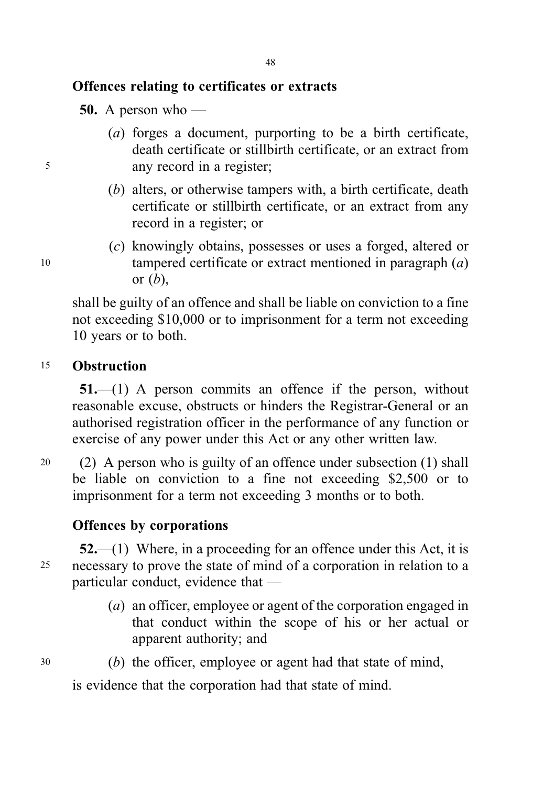# Offences relating to certificates or extracts

**50.** A person who —

- (a) forges a document, purporting to be a birth certificate, death certificate or stillbirth certificate, or an extract from <sup>5</sup> any record in a register;
	- (b) alters, or otherwise tampers with, a birth certificate, death certificate or stillbirth certificate, or an extract from any record in a register; or
- (c) knowingly obtains, possesses or uses a forged, altered or <sup>10</sup> tampered certificate or extract mentioned in paragraph (a) or  $(b)$ ,

shall be guilty of an offence and shall be liable on conviction to a fine not exceeding \$10,000 or to imprisonment for a term not exceeding 10 years or to both.

# <sup>15</sup> Obstruction

51.—(1) A person commits an offence if the person, without reasonable excuse, obstructs or hinders the Registrar-General or an authorised registration officer in the performance of any function or exercise of any power under this Act or any other written law.

<sup>20</sup> (2) A person who is guilty of an offence under subsection (1) shall be liable on conviction to a fine not exceeding \$2,500 or to imprisonment for a term not exceeding 3 months or to both.

# Offences by corporations

 $52$ —(1) Where, in a proceeding for an offence under this Act, it is <sup>25</sup> necessary to prove the state of mind of a corporation in relation to a particular conduct, evidence that —

- (a) an officer, employee or agent of the corporation engaged in that conduct within the scope of his or her actual or apparent authority; and
- <sup>30</sup> (b) the officer, employee or agent had that state of mind,

is evidence that the corporation had that state of mind.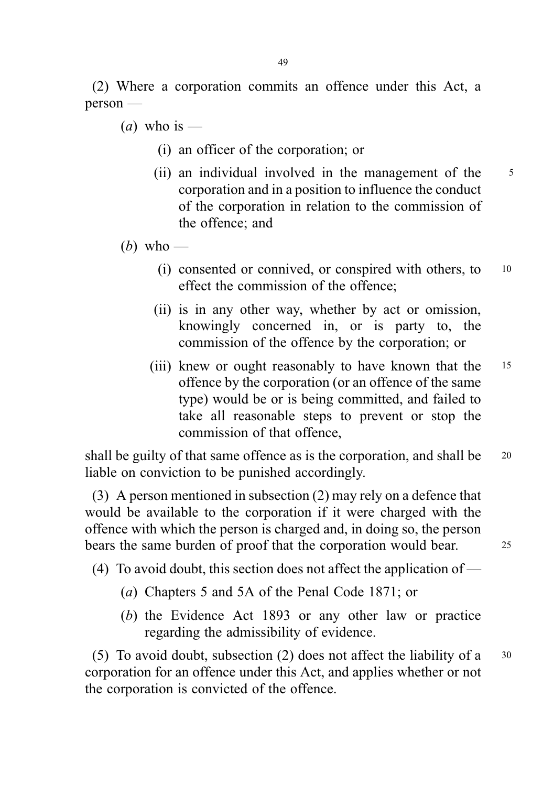(2) Where a corporation commits an offence under this Act, a person —

(*a*) who is —

- (i) an officer of the corporation; or
- (ii) an individual involved in the management of the 5 corporation and in a position to influence the conduct of the corporation in relation to the commission of the offence; and
- (b) who
	- (i) consented or connived, or conspired with others, to <sup>10</sup> effect the commission of the offence;
	- (ii) is in any other way, whether by act or omission, knowingly concerned in, or is party to, the commission of the offence by the corporation; or
	- (iii) knew or ought reasonably to have known that the 15 offence by the corporation (or an offence of the same type) would be or is being committed, and failed to take all reasonable steps to prevent or stop the commission of that offence,

shall be guilty of that same offence as is the corporation, and shall be 20 liable on conviction to be punished accordingly.

(3) A person mentioned in subsection (2) may rely on a defence that would be available to the corporation if it were charged with the offence with which the person is charged and, in doing so, the person bears the same burden of proof that the corporation would bear. 25

(4) To avoid doubt, this section does not affect the application of —

- (a) Chapters 5 and 5A of the Penal Code 1871; or
- (b) the Evidence Act 1893 or any other law or practice regarding the admissibility of evidence.

(5) To avoid doubt, subsection (2) does not affect the liability of a <sup>30</sup> corporation for an offence under this Act, and applies whether or not the corporation is convicted of the offence.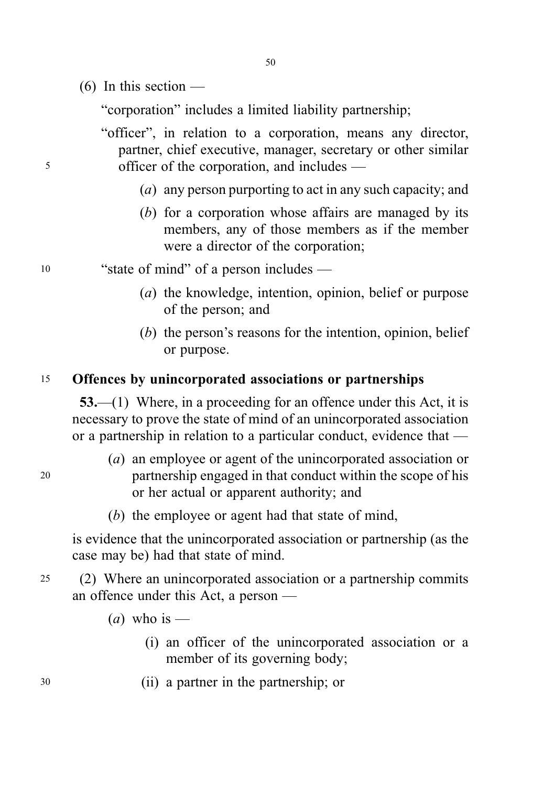- 50
- $(6)$  In this section —

"corporation" includes a limited liability partnership;

"officer", in relation to a corporation, means any director, partner, chief executive, manager, secretary or other similar <sup>5</sup> officer of the corporation, and includes —

- (a) any person purporting to act in any such capacity; and
- (b) for a corporation whose affairs are managed by its members, any of those members as if the member were a director of the corporation;
- <sup>10</sup> "state of mind" of a person includes
	- (a) the knowledge, intention, opinion, belief or purpose of the person; and
	- (b) the person's reasons for the intention, opinion, belief or purpose.

## <sup>15</sup> Offences by unincorporated associations or partnerships

53.—(1) Where, in a proceeding for an offence under this Act, it is necessary to prove the state of mind of an unincorporated association or a partnership in relation to a particular conduct, evidence that —

- (a) an employee or agent of the unincorporated association or <sup>20</sup> partnership engaged in that conduct within the scope of his or her actual or apparent authority; and
	- (b) the employee or agent had that state of mind,

is evidence that the unincorporated association or partnership (as the case may be) had that state of mind.

<sup>25</sup> (2) Where an unincorporated association or a partnership commits an offence under this Act, a person —

- (*a*) who is
	- (i) an officer of the unincorporated association or a member of its governing body;
- <sup>30</sup> (ii) a partner in the partnership; or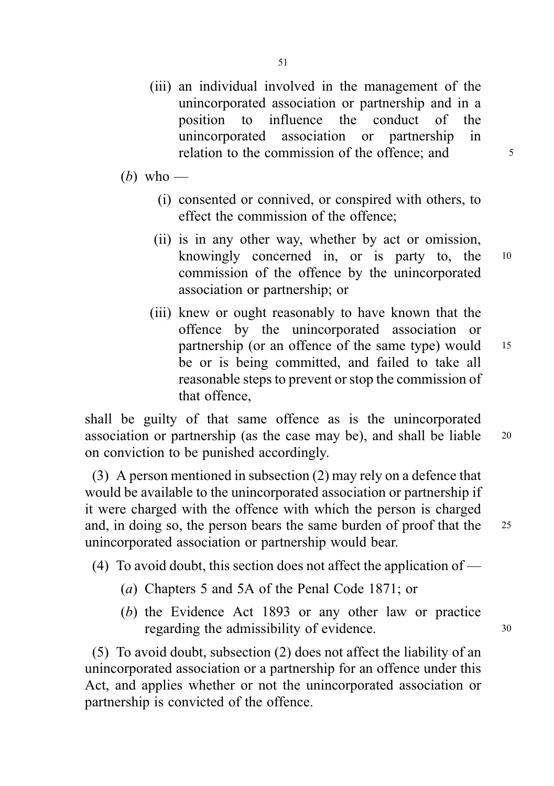- (iii) an individual involved in the management of the unincorporated association or partnership and in a position to influence the conduct of the unincorporated association or partnership in relation to the commission of the offence; and  $5^{\circ}$
- (b) who
	- (i) consented or connived, or conspired with others, to effect the commission of the offence;
	- (ii) is in any other way, whether by act or omission, knowingly concerned in, or is party to, the <sup>10</sup> commission of the offence by the unincorporated association or partnership; or
	- (iii) knew or ought reasonably to have known that the offence by the unincorporated association or partnership (or an offence of the same type) would 15 be or is being committed, and failed to take all reasonable steps to prevent or stop the commission of that offence,

shall be guilty of that same offence as is the unincorporated association or partnership (as the case may be), and shall be liable <sup>20</sup> on conviction to be punished accordingly.

(3) A person mentioned in subsection (2) may rely on a defence that would be available to the unincorporated association or partnership if it were charged with the offence with which the person is charged and, in doing so, the person bears the same burden of proof that the <sup>25</sup> unincorporated association or partnership would bear.

- (4) To avoid doubt, this section does not affect the application of
	- (a) Chapters 5 and 5A of the Penal Code 1871; or
	- (b) the Evidence Act 1893 or any other law or practice regarding the admissibility of evidence. 30

(5) To avoid doubt, subsection (2) does not affect the liability of an unincorporated association or a partnership for an offence under this Act, and applies whether or not the unincorporated association or partnership is convicted of the offence.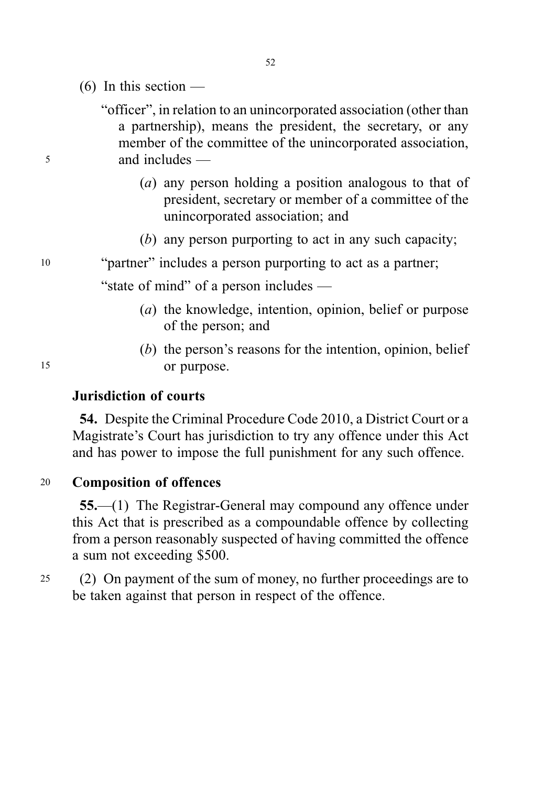- $(6)$  In this section —
- "officer", in relation to an unincorporated association (other than a partnership), means the president, the secretary, or any member of the committee of the unincorporated association, <sup>5</sup> and includes —
	- (a) any person holding a position analogous to that of president, secretary or member of a committee of the unincorporated association; and
	- (b) any person purporting to act in any such capacity;
- <sup>10</sup> "partner" includes a person purporting to act as a partner;

"state of mind" of a person includes —

- (a) the knowledge, intention, opinion, belief or purpose of the person; and
- (b) the person's reasons for the intention, opinion, belief 15 or purpose.

### Jurisdiction of courts

54. Despite the Criminal Procedure Code 2010, a District Court or a Magistrate's Court has jurisdiction to try any offence under this Act and has power to impose the full punishment for any such offence.

<sup>20</sup> Composition of offences

55.—(1) The Registrar-General may compound any offence under this Act that is prescribed as a compoundable offence by collecting from a person reasonably suspected of having committed the offence a sum not exceeding \$500.

<sup>25</sup> (2) On payment of the sum of money, no further proceedings are to be taken against that person in respect of the offence.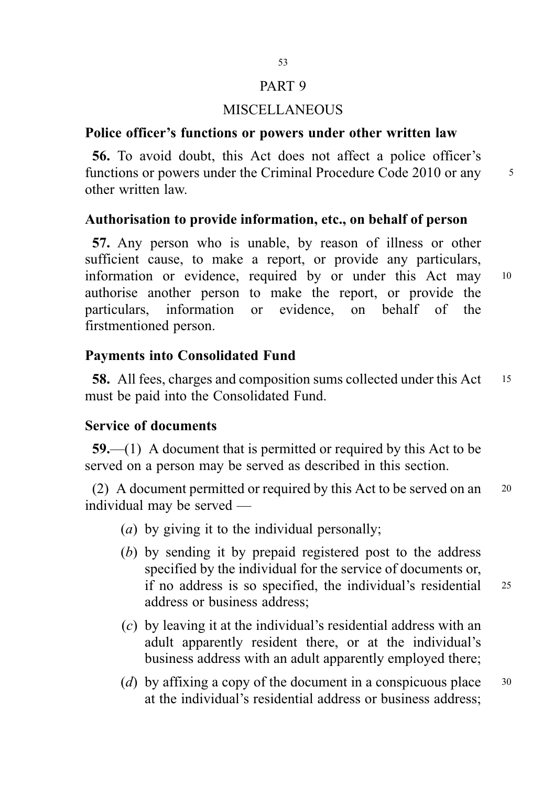### PART 9

### MISCELLANEOUS

# Police officer's functions or powers under other written law

56. To avoid doubt, this Act does not affect a police officer's functions or powers under the Criminal Procedure Code 2010 or any 5 other written law.

### Authorisation to provide information, etc., on behalf of person

57. Any person who is unable, by reason of illness or other sufficient cause, to make a report, or provide any particulars, information or evidence, required by or under this Act may <sup>10</sup> authorise another person to make the report, or provide the particulars, information or evidence, on behalf of the firstmentioned person.

### Payments into Consolidated Fund

58. All fees, charges and composition sums collected under this Act 15 must be paid into the Consolidated Fund.

### Service of documents

59.—(1) A document that is permitted or required by this Act to be served on a person may be served as described in this section.

(2) A document permitted or required by this Act to be served on an <sup>20</sup> individual may be served —

- (a) by giving it to the individual personally;
- (b) by sending it by prepaid registered post to the address specified by the individual for the service of documents or, if no address is so specified, the individual's residential <sup>25</sup> address or business address;
- (c) by leaving it at the individual's residential address with an adult apparently resident there, or at the individual's business address with an adult apparently employed there;
- (d) by affixing a copy of the document in a conspicuous place  $30$ at the individual's residential address or business address;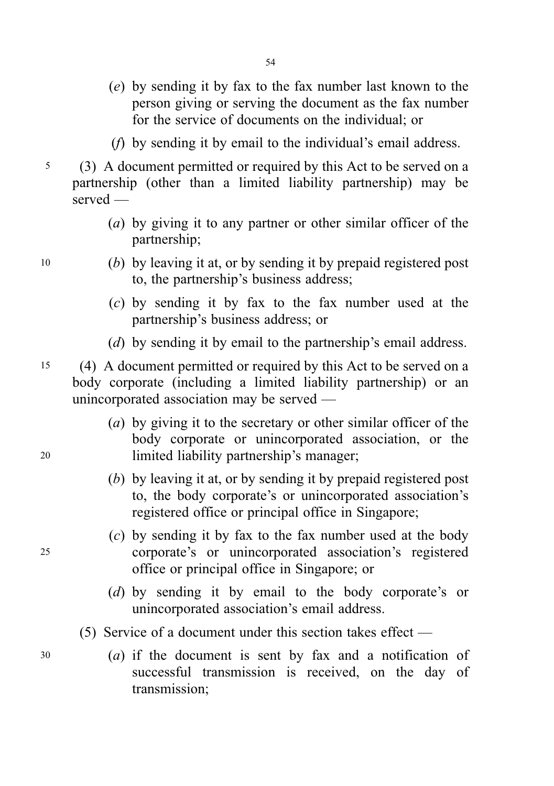- (e) by sending it by fax to the fax number last known to the person giving or serving the document as the fax number for the service of documents on the individual; or
- (f) by sending it by email to the individual's email address.
- <sup>5</sup> (3) A document permitted or required by this Act to be served on a partnership (other than a limited liability partnership) may be served —
	- (a) by giving it to any partner or other similar officer of the partnership;
- <sup>10</sup> (b) by leaving it at, or by sending it by prepaid registered post to, the partnership's business address;
	- (c) by sending it by fax to the fax number used at the partnership's business address; or
	- (d) by sending it by email to the partnership's email address.
- <sup>15</sup> (4) A document permitted or required by this Act to be served on a body corporate (including a limited liability partnership) or an unincorporated association may be served —
- (a) by giving it to the secretary or other similar officer of the body corporate or unincorporated association, or the <sup>20</sup> limited liability partnership's manager;
	- (b) by leaving it at, or by sending it by prepaid registered post to, the body corporate's or unincorporated association's registered office or principal office in Singapore;
- (c) by sending it by fax to the fax number used at the body <sup>25</sup> corporate's or unincorporated association's registered office or principal office in Singapore; or
	- (d) by sending it by email to the body corporate's or unincorporated association's email address.
	- (5) Service of a document under this section takes effect —
- <sup>30</sup> (a) if the document is sent by fax and a notification of successful transmission is received, on the day of transmission;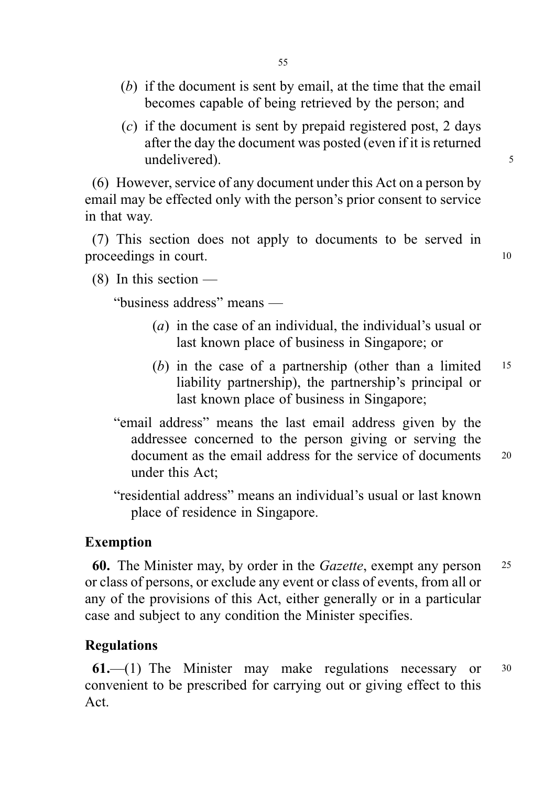- (b) if the document is sent by email, at the time that the email becomes capable of being retrieved by the person; and
- (c) if the document is sent by prepaid registered post, 2 days after the day the document was posted (even if it is returned undelivered). 5

(6) However, service of any document under this Act on a person by email may be effected only with the person's prior consent to service in that way.

(7) This section does not apply to documents to be served in proceedings in court.

 $(8)$  In this section —

"business address" means —

- (a) in the case of an individual, the individual's usual or last known place of business in Singapore; or
- (b) in the case of a partnership (other than a limited  $15$ liability partnership), the partnership's principal or last known place of business in Singapore;
- "email address" means the last email address given by the addressee concerned to the person giving or serving the document as the email address for the service of documents 20 under this Act;
- "residential address" means an individual's usual or last known place of residence in Singapore.

### Exemption

60. The Minister may, by order in the Gazette, exempt any person <sup>25</sup> or class of persons, or exclude any event or class of events, from all or any of the provisions of this Act, either generally or in a particular case and subject to any condition the Minister specifies.

### Regulations

61.—(1) The Minister may make regulations necessary or <sup>30</sup> convenient to be prescribed for carrying out or giving effect to this Act.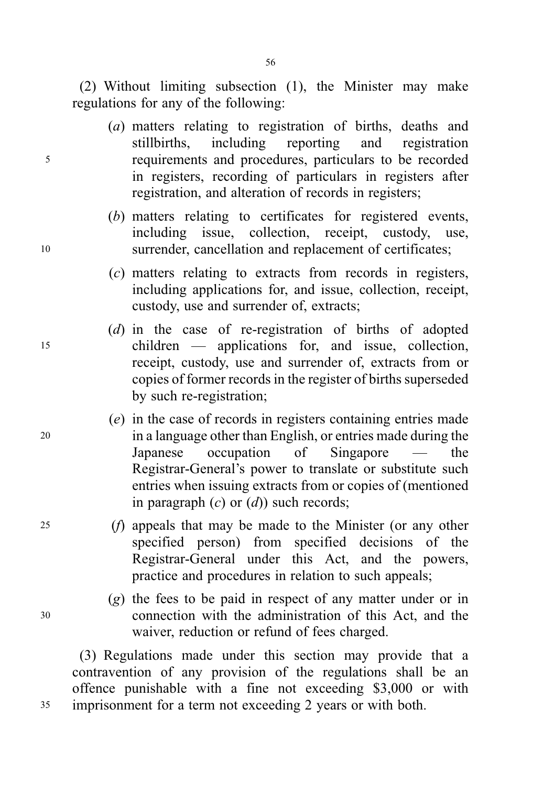(2) Without limiting subsection (1), the Minister may make regulations for any of the following:

- (a) matters relating to registration of births, deaths and stillbirths, including reporting and registration <sup>5</sup> requirements and procedures, particulars to be recorded in registers, recording of particulars in registers after registration, and alteration of records in registers;
- (b) matters relating to certificates for registered events, including issue, collection, receipt, custody, use, <sup>10</sup> surrender, cancellation and replacement of certificates;
	- (c) matters relating to extracts from records in registers, including applications for, and issue, collection, receipt, custody, use and surrender of, extracts;
- (d) in the case of re-registration of births of adopted <sup>15</sup> children — applications for, and issue, collection, receipt, custody, use and surrender of, extracts from or copies of former records in the register of births superseded by such re-registration;
- (e) in the case of records in registers containing entries made <sup>20</sup> in a language other than English, or entries made during the Japanese occupation of Singapore — the Registrar-General's power to translate or substitute such entries when issuing extracts from or copies of (mentioned in paragraph  $(c)$  or  $(d)$ ) such records;
- <sup>25</sup> (f) appeals that may be made to the Minister (or any other specified person) from specified decisions of the Registrar-General under this Act, and the powers, practice and procedures in relation to such appeals;
- (g) the fees to be paid in respect of any matter under or in <sup>30</sup> connection with the administration of this Act, and the waiver, reduction or refund of fees charged.

(3) Regulations made under this section may provide that a contravention of any provision of the regulations shall be an offence punishable with a fine not exceeding \$3,000 or with <sup>35</sup> imprisonment for a term not exceeding 2 years or with both.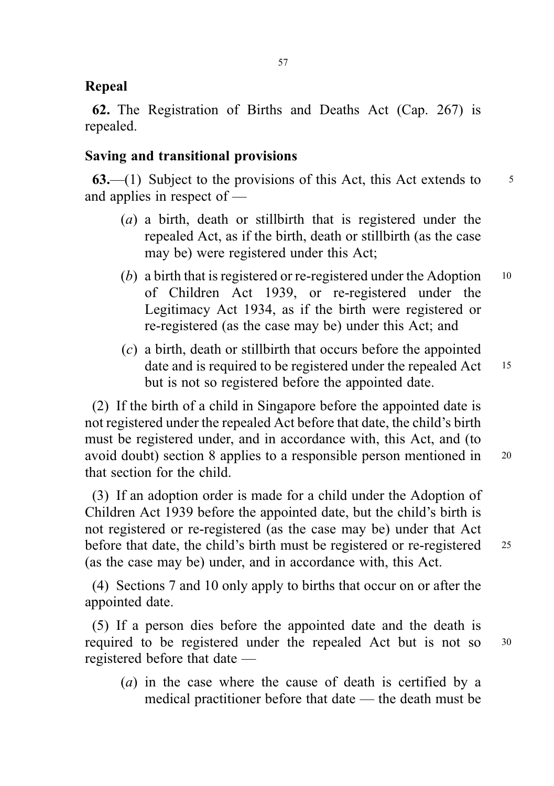# Repeal

62. The Registration of Births and Deaths Act (Cap. 267) is repealed.

# Saving and transitional provisions

63.—(1) Subject to the provisions of this Act, this Act extends to  $\frac{5}{5}$ and applies in respect of —

- (a) a birth, death or stillbirth that is registered under the repealed Act, as if the birth, death or stillbirth (as the case may be) were registered under this Act;
- (b) a birth that is registered or re-registered under the Adoption  $10$ of Children Act 1939, or re-registered under the Legitimacy Act 1934, as if the birth were registered or re-registered (as the case may be) under this Act; and
- (c) a birth, death or stillbirth that occurs before the appointed date and is required to be registered under the repealed Act 15 but is not so registered before the appointed date.

(2) If the birth of a child in Singapore before the appointed date is not registered under the repealed Act before that date, the child's birth must be registered under, and in accordance with, this Act, and (to avoid doubt) section 8 applies to a responsible person mentioned in <sup>20</sup> that section for the child.

(3) If an adoption order is made for a child under the Adoption of Children Act 1939 before the appointed date, but the child's birth is not registered or re-registered (as the case may be) under that Act before that date, the child's birth must be registered or re-registered 25 (as the case may be) under, and in accordance with, this Act.

(4) Sections 7 and 10 only apply to births that occur on or after the appointed date.

(5) If a person dies before the appointed date and the death is required to be registered under the repealed Act but is not so <sup>30</sup> registered before that date —

(a) in the case where the cause of death is certified by a medical practitioner before that date — the death must be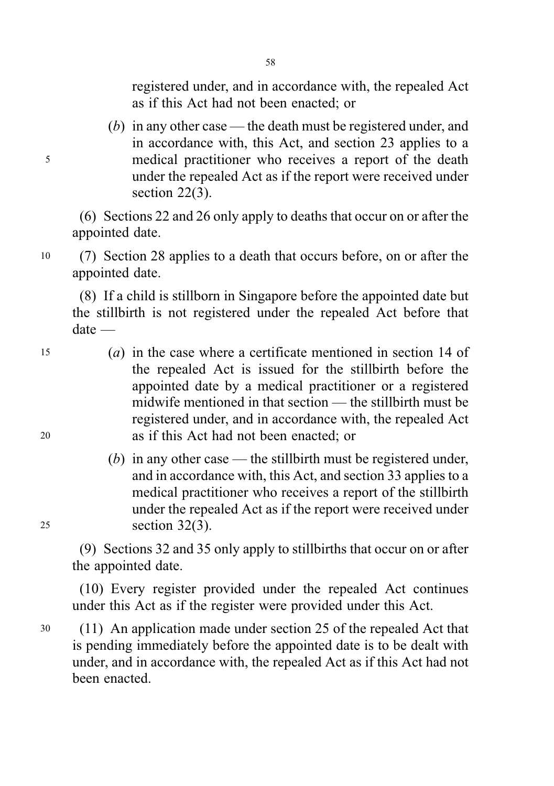registered under, and in accordance with, the repealed Act as if this Act had not been enacted; or

(b) in any other case — the death must be registered under, and in accordance with, this Act, and section 23 applies to a <sup>5</sup> medical practitioner who receives a report of the death under the repealed Act as if the report were received under section 22(3).

(6) Sections 22 and 26 only apply to deaths that occur on or after the appointed date.

<sup>10</sup> (7) Section 28 applies to a death that occurs before, on or after the appointed date.

(8) If a child is stillborn in Singapore before the appointed date but the stillbirth is not registered under the repealed Act before that date —

- <sup>15</sup> (a) in the case where a certificate mentioned in section 14 of the repealed Act is issued for the stillbirth before the appointed date by a medical practitioner or a registered midwife mentioned in that section — the stillbirth must be registered under, and in accordance with, the repealed Act <sup>20</sup> as if this Act had not been enacted; or
- (b) in any other case the still birth must be registered under, and in accordance with, this Act, and section 33 applies to a medical practitioner who receives a report of the stillbirth under the repealed Act as if the report were received under <sup>25</sup> section 32(3).

(9) Sections 32 and 35 only apply to stillbirths that occur on or after the appointed date.

(10) Every register provided under the repealed Act continues under this Act as if the register were provided under this Act.

<sup>30</sup> (11) An application made under section 25 of the repealed Act that is pending immediately before the appointed date is to be dealt with under, and in accordance with, the repealed Act as if this Act had not been enacted.

58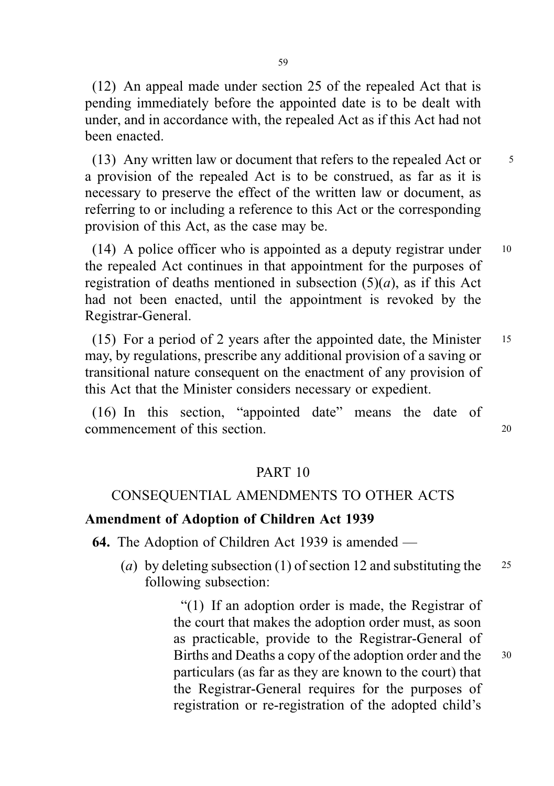(12) An appeal made under section 25 of the repealed Act that is pending immediately before the appointed date is to be dealt with under, and in accordance with, the repealed Act as if this Act had not been enacted.

(13) Any written law or document that refers to the repealed Act or 5 a provision of the repealed Act is to be construed, as far as it is necessary to preserve the effect of the written law or document, as referring to or including a reference to this Act or the corresponding provision of this Act, as the case may be.

(14) A police officer who is appointed as a deputy registrar under <sup>10</sup> the repealed Act continues in that appointment for the purposes of registration of deaths mentioned in subsection  $(5)(a)$ , as if this Act had not been enacted, until the appointment is revoked by the Registrar-General.

(15) For a period of 2 years after the appointed date, the Minister <sup>15</sup> may, by regulations, prescribe any additional provision of a saving or transitional nature consequent on the enactment of any provision of this Act that the Minister considers necessary or expedient.

(16) In this section, "appointed date" means the date of commencement of this section. <sup>20</sup>

# PART 10

# CONSEQUENTIAL AMENDMENTS TO OTHER ACTS

### Amendment of Adoption of Children Act 1939

64. The Adoption of Children Act 1939 is amended —

(a) by deleting subsection (1) of section 12 and substituting the  $25$ following subsection:

> "(1) If an adoption order is made, the Registrar of the court that makes the adoption order must, as soon as practicable, provide to the Registrar-General of Births and Deaths a copy of the adoption order and the 30 particulars (as far as they are known to the court) that the Registrar-General requires for the purposes of registration or re-registration of the adopted child's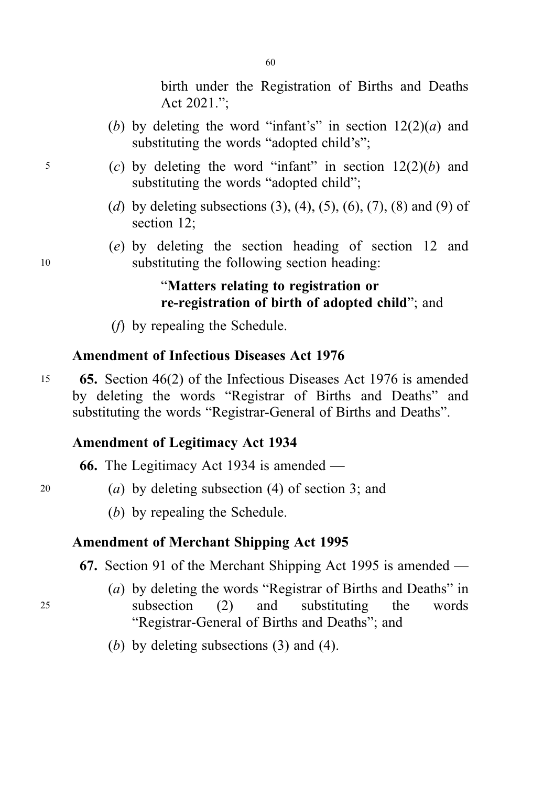birth under the Registration of Births and Deaths Act 2021.";

- (b) by deleting the word "infant's" in section  $12(2)(a)$  and substituting the words "adopted child's";
- $5$  (c) by deleting the word "infant" in section  $12(2)(b)$  and substituting the words "adopted child";
	- (d) by deleting subsections  $(3)$ ,  $(4)$ ,  $(5)$ ,  $(6)$ ,  $(7)$ ,  $(8)$  and  $(9)$  of section 12;
- (e) by deleting the section heading of section 12 and <sup>10</sup> substituting the following section heading:

# "Matters relating to registration or re-registration of birth of adopted child"; and

(f) by repealing the Schedule.

# Amendment of Infectious Diseases Act 1976

<sup>15</sup> 65. Section 46(2) of the Infectious Diseases Act 1976 is amended by deleting the words "Registrar of Births and Deaths" and substituting the words "Registrar-General of Births and Deaths".

# Amendment of Legitimacy Act 1934

66. The Legitimacy Act 1934 is amended —

- 20 (a) by deleting subsection  $(4)$  of section 3; and
	- (b) by repealing the Schedule.

## Amendment of Merchant Shipping Act 1995

67. Section 91 of the Merchant Shipping Act 1995 is amended —

- (a) by deleting the words "Registrar of Births and Deaths" in <sup>25</sup> subsection (2) and substituting the words "Registrar-General of Births and Deaths"; and
	- (b) by deleting subsections  $(3)$  and  $(4)$ .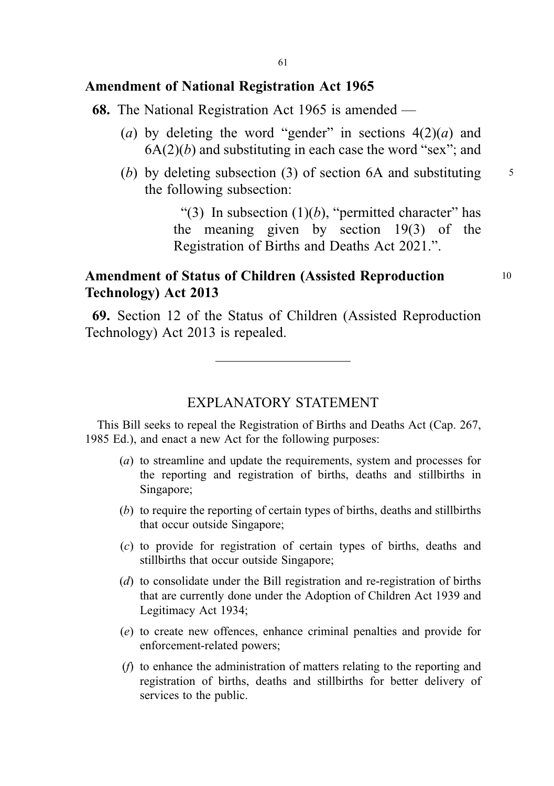### Amendment of National Registration Act 1965

- 68. The National Registration Act 1965 is amended
	- (a) by deleting the word "gender" in sections  $4(2)(a)$  and  $6A(2)(b)$  and substituting in each case the word "sex"; and
	- (b) by deleting subsection (3) of section 6A and substituting  $\frac{5}{5}$ the following subsection:

"(3) In subsection  $(1)(b)$ , "permitted character" has the meaning given by section 19(3) of the Registration of Births and Deaths Act 2021.".

# Amendment of Status of Children (Assisted Reproduction 10 Technology) Act 2013

69. Section 12 of the Status of Children (Assisted Reproduction Technology) Act 2013 is repealed.

### EXPLANATORY STATEMENT

This Bill seeks to repeal the Registration of Births and Deaths Act (Cap. 267, 1985 Ed.), and enact a new Act for the following purposes:

- (a) to streamline and update the requirements, system and processes for the reporting and registration of births, deaths and stillbirths in Singapore;
- (b) to require the reporting of certain types of births, deaths and stillbirths that occur outside Singapore;
- (c) to provide for registration of certain types of births, deaths and stillbirths that occur outside Singapore;
- (d) to consolidate under the Bill registration and re-registration of births that are currently done under the Adoption of Children Act 1939 and Legitimacy Act 1934;
- (e) to create new offences, enhance criminal penalties and provide for enforcement-related powers;
- (f) to enhance the administration of matters relating to the reporting and registration of births, deaths and stillbirths for better delivery of services to the public.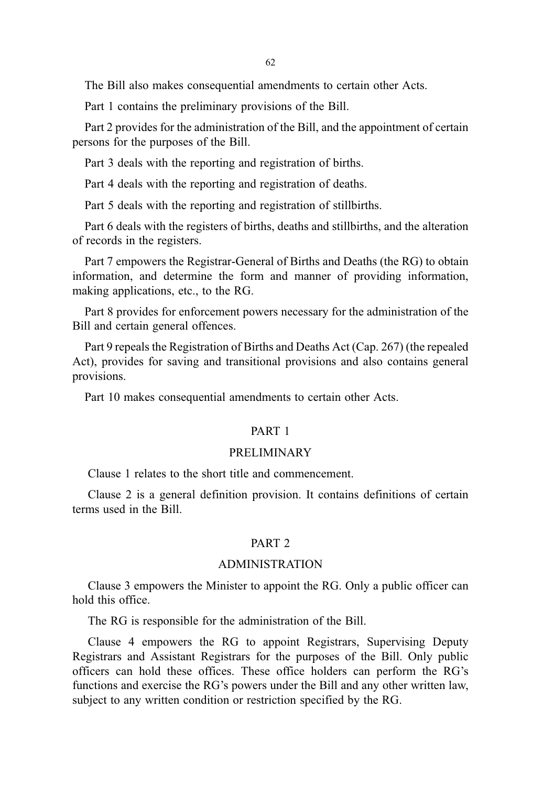The Bill also makes consequential amendments to certain other Acts.

Part 1 contains the preliminary provisions of the Bill.

Part 2 provides for the administration of the Bill, and the appointment of certain persons for the purposes of the Bill.

Part 3 deals with the reporting and registration of births.

Part 4 deals with the reporting and registration of deaths.

Part 5 deals with the reporting and registration of stillbirths.

Part 6 deals with the registers of births, deaths and stillbirths, and the alteration of records in the registers.

Part 7 empowers the Registrar-General of Births and Deaths (the RG) to obtain information, and determine the form and manner of providing information, making applications, etc., to the RG.

Part 8 provides for enforcement powers necessary for the administration of the Bill and certain general offences.

Part 9 repeals the Registration of Births and Deaths Act (Cap. 267) (the repealed Act), provides for saving and transitional provisions and also contains general provisions.

Part 10 makes consequential amendments to certain other Acts.

#### PART 1

#### PRELIMINARY

Clause 1 relates to the short title and commencement.

Clause 2 is a general definition provision. It contains definitions of certain terms used in the Bill.

#### PART 2

#### ADMINISTRATION

Clause 3 empowers the Minister to appoint the RG. Only a public officer can hold this office.

The RG is responsible for the administration of the Bill.

Clause 4 empowers the RG to appoint Registrars, Supervising Deputy Registrars and Assistant Registrars for the purposes of the Bill. Only public officers can hold these offices. These office holders can perform the RG's functions and exercise the RG's powers under the Bill and any other written law, subject to any written condition or restriction specified by the RG.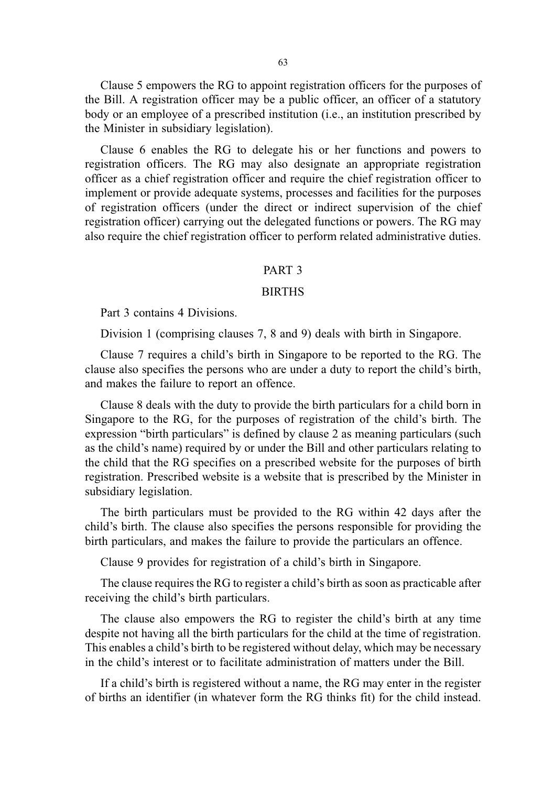63

Clause 5 empowers the RG to appoint registration officers for the purposes of the Bill. A registration officer may be a public officer, an officer of a statutory body or an employee of a prescribed institution (i.e., an institution prescribed by the Minister in subsidiary legislation).

Clause 6 enables the RG to delegate his or her functions and powers to registration officers. The RG may also designate an appropriate registration officer as a chief registration officer and require the chief registration officer to implement or provide adequate systems, processes and facilities for the purposes of registration officers (under the direct or indirect supervision of the chief registration officer) carrying out the delegated functions or powers. The RG may also require the chief registration officer to perform related administrative duties.

#### PART 3

#### **BIRTHS**

Part 3 contains 4 Divisions.

Division 1 (comprising clauses 7, 8 and 9) deals with birth in Singapore.

Clause 7 requires a child's birth in Singapore to be reported to the RG. The clause also specifies the persons who are under a duty to report the child's birth, and makes the failure to report an offence.

Clause 8 deals with the duty to provide the birth particulars for a child born in Singapore to the RG, for the purposes of registration of the child's birth. The expression "birth particulars" is defined by clause 2 as meaning particulars (such as the child's name) required by or under the Bill and other particulars relating to the child that the RG specifies on a prescribed website for the purposes of birth registration. Prescribed website is a website that is prescribed by the Minister in subsidiary legislation.

The birth particulars must be provided to the RG within 42 days after the child's birth. The clause also specifies the persons responsible for providing the birth particulars, and makes the failure to provide the particulars an offence.

Clause 9 provides for registration of a child's birth in Singapore.

The clause requires the RG to register a child's birth as soon as practicable after receiving the child's birth particulars.

The clause also empowers the RG to register the child's birth at any time despite not having all the birth particulars for the child at the time of registration. This enables a child's birth to be registered without delay, which may be necessary in the child's interest or to facilitate administration of matters under the Bill.

If a child's birth is registered without a name, the RG may enter in the register of births an identifier (in whatever form the RG thinks fit) for the child instead.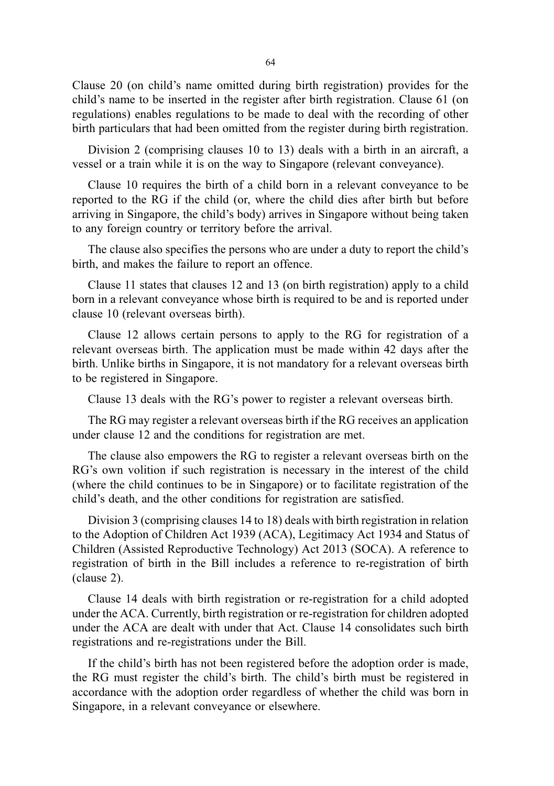Clause 20 (on child's name omitted during birth registration) provides for the child's name to be inserted in the register after birth registration. Clause 61 (on regulations) enables regulations to be made to deal with the recording of other birth particulars that had been omitted from the register during birth registration.

Division 2 (comprising clauses 10 to 13) deals with a birth in an aircraft, a vessel or a train while it is on the way to Singapore (relevant conveyance).

Clause 10 requires the birth of a child born in a relevant conveyance to be reported to the RG if the child (or, where the child dies after birth but before arriving in Singapore, the child's body) arrives in Singapore without being taken to any foreign country or territory before the arrival.

The clause also specifies the persons who are under a duty to report the child's birth, and makes the failure to report an offence.

Clause 11 states that clauses 12 and 13 (on birth registration) apply to a child born in a relevant conveyance whose birth is required to be and is reported under clause 10 (relevant overseas birth).

Clause 12 allows certain persons to apply to the RG for registration of a relevant overseas birth. The application must be made within 42 days after the birth. Unlike births in Singapore, it is not mandatory for a relevant overseas birth to be registered in Singapore.

Clause 13 deals with the RG's power to register a relevant overseas birth.

The RG may register a relevant overseas birth if the RG receives an application under clause 12 and the conditions for registration are met.

The clause also empowers the RG to register a relevant overseas birth on the RG's own volition if such registration is necessary in the interest of the child (where the child continues to be in Singapore) or to facilitate registration of the child's death, and the other conditions for registration are satisfied.

Division 3 (comprising clauses 14 to 18) deals with birth registration in relation to the Adoption of Children Act 1939 (ACA), Legitimacy Act 1934 and Status of Children (Assisted Reproductive Technology) Act 2013 (SOCA). A reference to registration of birth in the Bill includes a reference to re-registration of birth (clause 2).

Clause 14 deals with birth registration or re-registration for a child adopted under the ACA. Currently, birth registration or re-registration for children adopted under the ACA are dealt with under that Act. Clause 14 consolidates such birth registrations and re-registrations under the Bill.

If the child's birth has not been registered before the adoption order is made, the RG must register the child's birth. The child's birth must be registered in accordance with the adoption order regardless of whether the child was born in Singapore, in a relevant conveyance or elsewhere.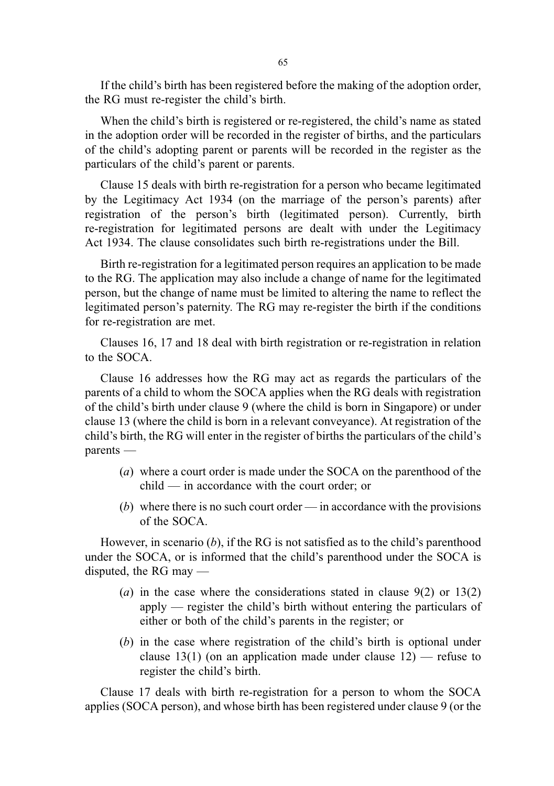If the child's birth has been registered before the making of the adoption order, the RG must re-register the child's birth.

When the child's birth is registered or re-registered, the child's name as stated in the adoption order will be recorded in the register of births, and the particulars of the child's adopting parent or parents will be recorded in the register as the particulars of the child's parent or parents.

Clause 15 deals with birth re-registration for a person who became legitimated by the Legitimacy Act 1934 (on the marriage of the person's parents) after registration of the person's birth (legitimated person). Currently, birth re-registration for legitimated persons are dealt with under the Legitimacy Act 1934. The clause consolidates such birth re-registrations under the Bill.

Birth re-registration for a legitimated person requires an application to be made to the RG. The application may also include a change of name for the legitimated person, but the change of name must be limited to altering the name to reflect the legitimated person's paternity. The RG may re-register the birth if the conditions for re-registration are met.

Clauses 16, 17 and 18 deal with birth registration or re-registration in relation to the SOCA.

Clause 16 addresses how the RG may act as regards the particulars of the parents of a child to whom the SOCA applies when the RG deals with registration of the child's birth under clause 9 (where the child is born in Singapore) or under clause 13 (where the child is born in a relevant conveyance). At registration of the child's birth, the RG will enter in the register of births the particulars of the child's parents —

- (a) where a court order is made under the SOCA on the parenthood of the child — in accordance with the court order; or
- (b) where there is no such court order in accordance with the provisions of the SOCA.

However, in scenario  $(b)$ , if the RG is not satisfied as to the child's parenthood under the SOCA, or is informed that the child's parenthood under the SOCA is disputed, the RG may —

- (a) in the case where the considerations stated in clause  $9(2)$  or  $13(2)$ apply — register the child's birth without entering the particulars of either or both of the child's parents in the register; or
- (b) in the case where registration of the child's birth is optional under clause 13(1) (on an application made under clause  $12$ ) — refuse to register the child's birth.

Clause 17 deals with birth re-registration for a person to whom the SOCA applies (SOCA person), and whose birth has been registered under clause 9 (or the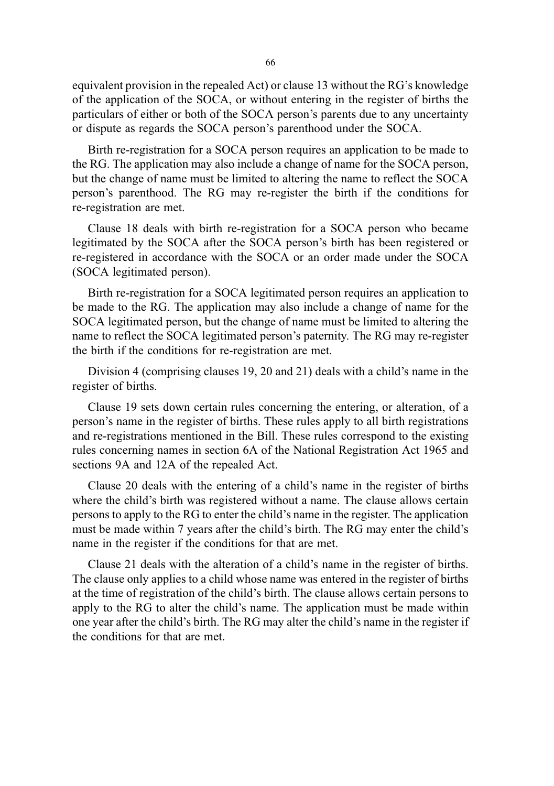equivalent provision in the repealed Act) or clause 13 without the RG's knowledge of the application of the SOCA, or without entering in the register of births the particulars of either or both of the SOCA person's parents due to any uncertainty or dispute as regards the SOCA person's parenthood under the SOCA.

Birth re-registration for a SOCA person requires an application to be made to the RG. The application may also include a change of name for the SOCA person, but the change of name must be limited to altering the name to reflect the SOCA person's parenthood. The RG may re-register the birth if the conditions for re-registration are met.

Clause 18 deals with birth re-registration for a SOCA person who became legitimated by the SOCA after the SOCA person's birth has been registered or re-registered in accordance with the SOCA or an order made under the SOCA (SOCA legitimated person).

Birth re-registration for a SOCA legitimated person requires an application to be made to the RG. The application may also include a change of name for the SOCA legitimated person, but the change of name must be limited to altering the name to reflect the SOCA legitimated person's paternity. The RG may re-register the birth if the conditions for re-registration are met.

Division 4 (comprising clauses 19, 20 and 21) deals with a child's name in the register of births.

Clause 19 sets down certain rules concerning the entering, or alteration, of a person's name in the register of births. These rules apply to all birth registrations and re-registrations mentioned in the Bill. These rules correspond to the existing rules concerning names in section 6A of the National Registration Act 1965 and sections 9A and 12A of the repealed Act.

Clause 20 deals with the entering of a child's name in the register of births where the child's birth was registered without a name. The clause allows certain persons to apply to the RG to enter the child's name in the register. The application must be made within 7 years after the child's birth. The RG may enter the child's name in the register if the conditions for that are met.

Clause 21 deals with the alteration of a child's name in the register of births. The clause only applies to a child whose name was entered in the register of births at the time of registration of the child's birth. The clause allows certain persons to apply to the RG to alter the child's name. The application must be made within one year after the child's birth. The RG may alter the child's name in the register if the conditions for that are met.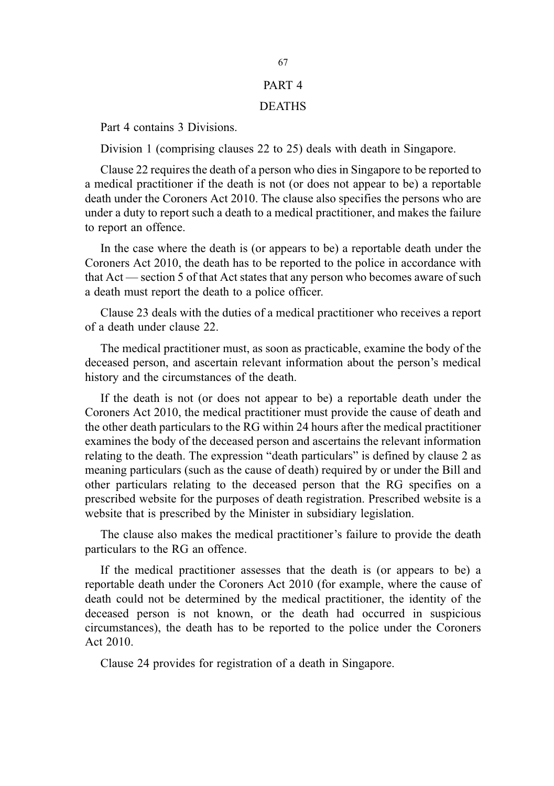#### PART 4

#### DEATHS

Part 4 contains 3 Divisions.

Division 1 (comprising clauses 22 to 25) deals with death in Singapore.

Clause 22 requires the death of a person who dies in Singapore to be reported to a medical practitioner if the death is not (or does not appear to be) a reportable death under the Coroners Act 2010. The clause also specifies the persons who are under a duty to report such a death to a medical practitioner, and makes the failure to report an offence.

In the case where the death is (or appears to be) a reportable death under the Coroners Act 2010, the death has to be reported to the police in accordance with that Act — section 5 of that Act states that any person who becomes aware of such a death must report the death to a police officer.

Clause 23 deals with the duties of a medical practitioner who receives a report of a death under clause 22.

The medical practitioner must, as soon as practicable, examine the body of the deceased person, and ascertain relevant information about the person's medical history and the circumstances of the death.

If the death is not (or does not appear to be) a reportable death under the Coroners Act 2010, the medical practitioner must provide the cause of death and the other death particulars to the RG within 24 hours after the medical practitioner examines the body of the deceased person and ascertains the relevant information relating to the death. The expression "death particulars" is defined by clause 2 as meaning particulars (such as the cause of death) required by or under the Bill and other particulars relating to the deceased person that the RG specifies on a prescribed website for the purposes of death registration. Prescribed website is a website that is prescribed by the Minister in subsidiary legislation.

The clause also makes the medical practitioner's failure to provide the death particulars to the RG an offence.

If the medical practitioner assesses that the death is (or appears to be) a reportable death under the Coroners Act 2010 (for example, where the cause of death could not be determined by the medical practitioner, the identity of the deceased person is not known, or the death had occurred in suspicious circumstances), the death has to be reported to the police under the Coroners Act 2010.

Clause 24 provides for registration of a death in Singapore.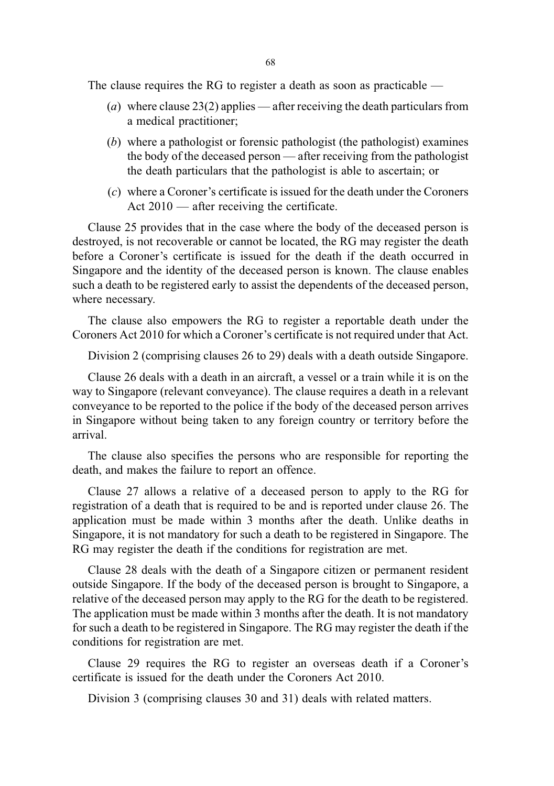The clause requires the RG to register a death as soon as practicable —

- (a) where clause 23(2) applies after receiving the death particulars from a medical practitioner;
- (b) where a pathologist or forensic pathologist (the pathologist) examines the body of the deceased person — after receiving from the pathologist the death particulars that the pathologist is able to ascertain; or
- (c) where a Coroner's certificate is issued for the death under the Coroners Act 2010 — after receiving the certificate.

Clause 25 provides that in the case where the body of the deceased person is destroyed, is not recoverable or cannot be located, the RG may register the death before a Coroner's certificate is issued for the death if the death occurred in Singapore and the identity of the deceased person is known. The clause enables such a death to be registered early to assist the dependents of the deceased person, where necessary.

The clause also empowers the RG to register a reportable death under the Coroners Act 2010 for which a Coroner's certificate is not required under that Act.

Division 2 (comprising clauses 26 to 29) deals with a death outside Singapore.

Clause 26 deals with a death in an aircraft, a vessel or a train while it is on the way to Singapore (relevant conveyance). The clause requires a death in a relevant conveyance to be reported to the police if the body of the deceased person arrives in Singapore without being taken to any foreign country or territory before the arrival.

The clause also specifies the persons who are responsible for reporting the death, and makes the failure to report an offence.

Clause 27 allows a relative of a deceased person to apply to the RG for registration of a death that is required to be and is reported under clause 26. The application must be made within 3 months after the death. Unlike deaths in Singapore, it is not mandatory for such a death to be registered in Singapore. The RG may register the death if the conditions for registration are met.

Clause 28 deals with the death of a Singapore citizen or permanent resident outside Singapore. If the body of the deceased person is brought to Singapore, a relative of the deceased person may apply to the RG for the death to be registered. The application must be made within 3 months after the death. It is not mandatory for such a death to be registered in Singapore. The RG may register the death if the conditions for registration are met.

Clause 29 requires the RG to register an overseas death if a Coroner's certificate is issued for the death under the Coroners Act 2010.

Division 3 (comprising clauses 30 and 31) deals with related matters.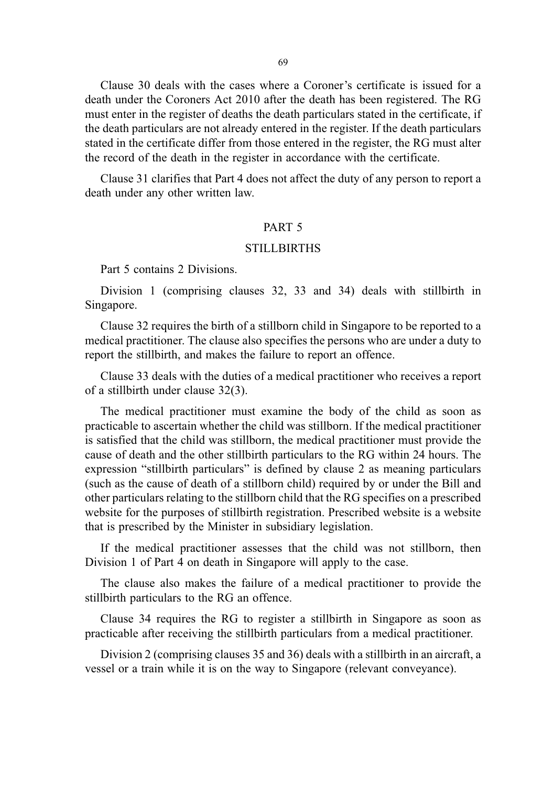Clause 30 deals with the cases where a Coroner's certificate is issued for a death under the Coroners Act 2010 after the death has been registered. The RG must enter in the register of deaths the death particulars stated in the certificate, if the death particulars are not already entered in the register. If the death particulars stated in the certificate differ from those entered in the register, the RG must alter the record of the death in the register in accordance with the certificate.

Clause 31 clarifies that Part 4 does not affect the duty of any person to report a death under any other written law.

### PART 5

#### **STILLBIRTHS**

Part 5 contains 2 Divisions.

Division 1 (comprising clauses 32, 33 and 34) deals with stillbirth in Singapore.

Clause 32 requires the birth of a stillborn child in Singapore to be reported to a medical practitioner. The clause also specifies the persons who are under a duty to report the stillbirth, and makes the failure to report an offence.

Clause 33 deals with the duties of a medical practitioner who receives a report of a stillbirth under clause 32(3).

The medical practitioner must examine the body of the child as soon as practicable to ascertain whether the child was stillborn. If the medical practitioner is satisfied that the child was stillborn, the medical practitioner must provide the cause of death and the other stillbirth particulars to the RG within 24 hours. The expression "stillbirth particulars" is defined by clause 2 as meaning particulars (such as the cause of death of a stillborn child) required by or under the Bill and other particulars relating to the stillborn child that the RG specifies on a prescribed website for the purposes of stillbirth registration. Prescribed website is a website that is prescribed by the Minister in subsidiary legislation.

If the medical practitioner assesses that the child was not stillborn, then Division 1 of Part 4 on death in Singapore will apply to the case.

The clause also makes the failure of a medical practitioner to provide the stillbirth particulars to the RG an offence.

Clause 34 requires the RG to register a stillbirth in Singapore as soon as practicable after receiving the stillbirth particulars from a medical practitioner.

Division 2 (comprising clauses 35 and 36) deals with a stillbirth in an aircraft, a vessel or a train while it is on the way to Singapore (relevant conveyance).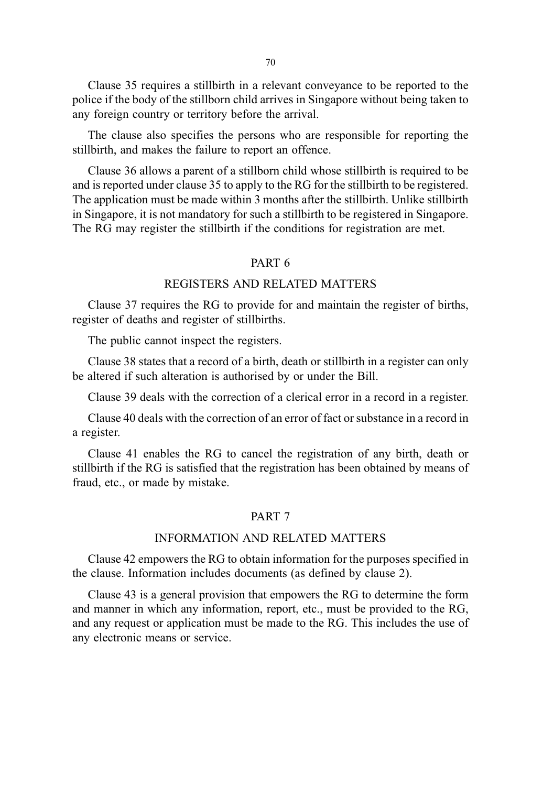70

Clause 35 requires a stillbirth in a relevant conveyance to be reported to the police if the body of the stillborn child arrives in Singapore without being taken to any foreign country or territory before the arrival.

The clause also specifies the persons who are responsible for reporting the stillbirth, and makes the failure to report an offence.

Clause 36 allows a parent of a stillborn child whose stillbirth is required to be and is reported under clause 35 to apply to the RG for the stillbirth to be registered. The application must be made within 3 months after the stillbirth. Unlike stillbirth in Singapore, it is not mandatory for such a stillbirth to be registered in Singapore. The RG may register the stillbirth if the conditions for registration are met.

#### PART 6

#### REGISTERS AND RELATED MATTERS

Clause 37 requires the RG to provide for and maintain the register of births, register of deaths and register of stillbirths.

The public cannot inspect the registers.

Clause 38 states that a record of a birth, death or stillbirth in a register can only be altered if such alteration is authorised by or under the Bill.

Clause 39 deals with the correction of a clerical error in a record in a register.

Clause 40 deals with the correction of an error of fact or substance in a record in a register.

Clause 41 enables the RG to cancel the registration of any birth, death or stillbirth if the RG is satisfied that the registration has been obtained by means of fraud, etc., or made by mistake.

#### PART 7

#### INFORMATION AND RELATED MATTERS

Clause 42 empowers the RG to obtain information for the purposes specified in the clause. Information includes documents (as defined by clause 2).

Clause 43 is a general provision that empowers the RG to determine the form and manner in which any information, report, etc., must be provided to the RG, and any request or application must be made to the RG. This includes the use of any electronic means or service.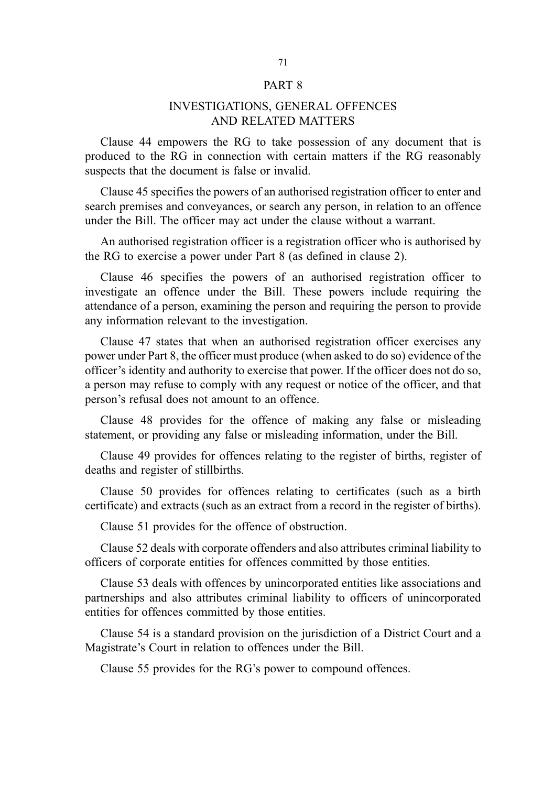#### PART 8

### INVESTIGATIONS, GENERAL OFFENCES AND RELATED MATTERS

Clause 44 empowers the RG to take possession of any document that is produced to the RG in connection with certain matters if the RG reasonably suspects that the document is false or invalid.

Clause 45 specifies the powers of an authorised registration officer to enter and search premises and conveyances, or search any person, in relation to an offence under the Bill. The officer may act under the clause without a warrant.

An authorised registration officer is a registration officer who is authorised by the RG to exercise a power under Part 8 (as defined in clause 2).

Clause 46 specifies the powers of an authorised registration officer to investigate an offence under the Bill. These powers include requiring the attendance of a person, examining the person and requiring the person to provide any information relevant to the investigation.

Clause 47 states that when an authorised registration officer exercises any power under Part 8, the officer must produce (when asked to do so) evidence of the officer's identity and authority to exercise that power. If the officer does not do so, a person may refuse to comply with any request or notice of the officer, and that person's refusal does not amount to an offence.

Clause 48 provides for the offence of making any false or misleading statement, or providing any false or misleading information, under the Bill.

Clause 49 provides for offences relating to the register of births, register of deaths and register of stillbirths.

Clause 50 provides for offences relating to certificates (such as a birth certificate) and extracts (such as an extract from a record in the register of births).

Clause 51 provides for the offence of obstruction.

Clause 52 deals with corporate offenders and also attributes criminal liability to officers of corporate entities for offences committed by those entities.

Clause 53 deals with offences by unincorporated entities like associations and partnerships and also attributes criminal liability to officers of unincorporated entities for offences committed by those entities.

Clause 54 is a standard provision on the jurisdiction of a District Court and a Magistrate's Court in relation to offences under the Bill.

Clause 55 provides for the RG's power to compound offences.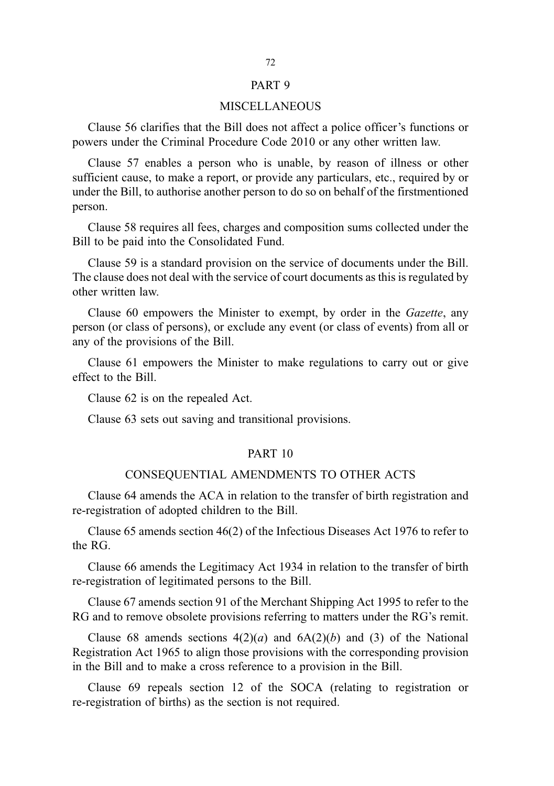#### PART 9

#### MISCELLANEOUS

Clause 56 clarifies that the Bill does not affect a police officer's functions or powers under the Criminal Procedure Code 2010 or any other written law.

Clause 57 enables a person who is unable, by reason of illness or other sufficient cause, to make a report, or provide any particulars, etc., required by or under the Bill, to authorise another person to do so on behalf of the firstmentioned person.

Clause 58 requires all fees, charges and composition sums collected under the Bill to be paid into the Consolidated Fund.

Clause 59 is a standard provision on the service of documents under the Bill. The clause does not deal with the service of court documents as this is regulated by other written law.

Clause 60 empowers the Minister to exempt, by order in the Gazette, any person (or class of persons), or exclude any event (or class of events) from all or any of the provisions of the Bill.

Clause 61 empowers the Minister to make regulations to carry out or give effect to the Bill.

Clause 62 is on the repealed Act.

Clause 63 sets out saving and transitional provisions.

#### PART 10

#### CONSEQUENTIAL AMENDMENTS TO OTHER ACTS

Clause 64 amends the ACA in relation to the transfer of birth registration and re-registration of adopted children to the Bill.

Clause 65 amends section 46(2) of the Infectious Diseases Act 1976 to refer to the RG.

Clause 66 amends the Legitimacy Act 1934 in relation to the transfer of birth re-registration of legitimated persons to the Bill.

Clause 67 amends section 91 of the Merchant Shipping Act 1995 to refer to the RG and to remove obsolete provisions referring to matters under the RG's remit.

Clause 68 amends sections  $4(2)(a)$  and  $6A(2)(b)$  and (3) of the National Registration Act 1965 to align those provisions with the corresponding provision in the Bill and to make a cross reference to a provision in the Bill.

Clause 69 repeals section 12 of the SOCA (relating to registration or re-registration of births) as the section is not required.